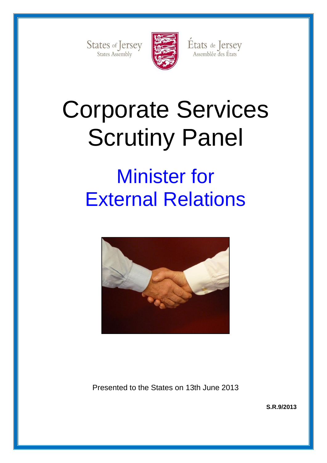States of Jersey States Assembly



États de Jersey<br>Assemblée des États

# Corporate Services Scrutiny Panel

## Minister for External Relations



Presented to the States on 13th June 2013

**S.R.9/2013**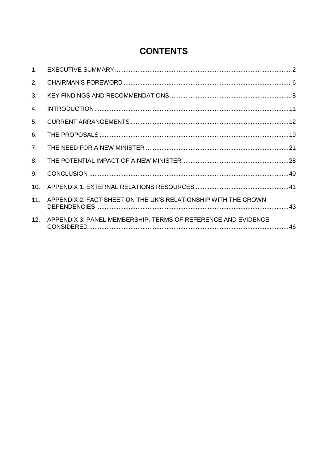## **CONTENTS**

| 1.  |                                                                |  |
|-----|----------------------------------------------------------------|--|
| 2.  |                                                                |  |
| 3.  |                                                                |  |
| 4.  |                                                                |  |
| 5.  |                                                                |  |
| 6.  |                                                                |  |
| 7.  |                                                                |  |
| 8.  |                                                                |  |
| 9.  |                                                                |  |
| 10. |                                                                |  |
| 11. | APPENDIX 2: FACT SHEET ON THE UK'S RELATIONSHIP WITH THE CROWN |  |
| 12. | APPENDIX 3: PANEL MEMBERSHIP, TERMS OF REFERENCE AND EVIDENCE  |  |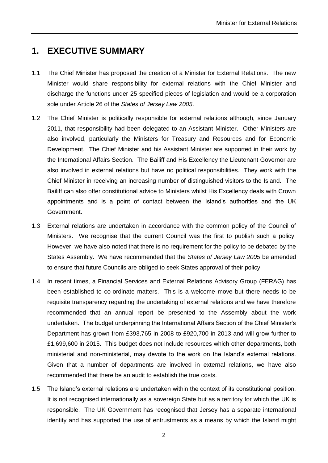## <span id="page-4-0"></span>**1. EXECUTIVE SUMMARY**

- 1.1 The Chief Minister has proposed the creation of a Minister for External Relations. The new Minister would share responsibility for external relations with the Chief Minister and discharge the functions under 25 specified pieces of legislation and would be a corporation sole under Article 26 of the *States of Jersey Law 2005*.
- 1.2 The Chief Minister is politically responsible for external relations although, since January 2011, that responsibility had been delegated to an Assistant Minister. Other Ministers are also involved, particularly the Ministers for Treasury and Resources and for Economic Development. The Chief Minister and his Assistant Minister are supported in their work by the International Affairs Section. The Bailiff and His Excellency the Lieutenant Governor are also involved in external relations but have no political responsibilities. They work with the Chief Minister in receiving an increasing number of distinguished visitors to the Island. The Bailiff can also offer constitutional advice to Ministers whilst His Excellency deals with Crown appointments and is a point of contact between the Island's authorities and the UK Government.
- 1.3 External relations are undertaken in accordance with the common policy of the Council of Ministers. We recognise that the current Council was the first to publish such a policy. However, we have also noted that there is no requirement for the policy to be debated by the States Assembly. We have recommended that the *States of Jersey Law 2005* be amended to ensure that future Councils are obliged to seek States approval of their policy.
- 1.4 In recent times, a Financial Services and External Relations Advisory Group (FERAG) has been established to co-ordinate matters. This is a welcome move but there needs to be requisite transparency regarding the undertaking of external relations and we have therefore recommended that an annual report be presented to the Assembly about the work undertaken. The budget underpinning the International Affairs Section of the Chief Minister's Department has grown from £393,765 in 2008 to £920,700 in 2013 and will grow further to £1,699,600 in 2015. This budget does not include resources which other departments, both ministerial and non-ministerial, may devote to the work on the Island's external relations. Given that a number of departments are involved in external relations, we have also recommended that there be an audit to establish the true costs.
- 1.5 The Island's external relations are undertaken within the context of its constitutional position. It is not recognised internationally as a sovereign State but as a territory for which the UK is responsible. The UK Government has recognised that Jersey has a separate international identity and has supported the use of entrustments as a means by which the Island might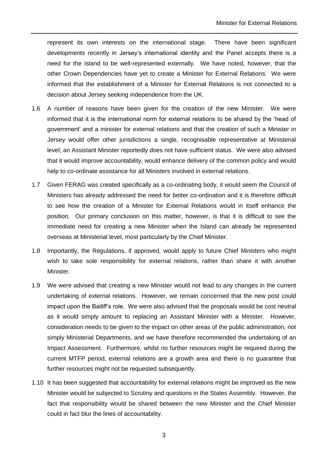represent its own interests on the international stage. There have been significant developments recently in Jersey's international identity and the Panel accepts there is a need for the Island to be well-represented externally. We have noted, however, that the other Crown Dependencies have yet to create a Minister for External Relations. We were informed that the establishment of a Minister for External Relations is not connected to a decision about Jersey seeking independence from the UK.

- 1.6 A number of reasons have been given for the creation of the new Minister. We were informed that it is the international norm for external relations to be shared by the 'head of government' and a minister for external relations and that the creation of such a Minister in Jersey would offer other jurisdictions a single, recognisable representative at Ministerial level; an Assistant Minister reportedly does not have sufficient status. We were also advised that it would improve accountability, would enhance delivery of the common policy and would help to co-ordinate assistance for all Ministers involved in external relations.
- 1.7 Given FERAG was created specifically as a co-ordinating body, it would seem the Council of Ministers has already addressed the need for better co-ordination and it is therefore difficult to see how the creation of a Minister for External Relations would in itself enhance the position. Our primary conclusion on this matter, however, is that it is difficult to see the immediate need for creating a new Minister when the Island can already be represented overseas at Ministerial level, most particularly by the Chief Minister.
- 1.8 Importantly, the Regulations, if approved, would apply to future Chief Ministers who might wish to take sole responsibility for external relations, rather than share it with another Minister.
- 1.9 We were advised that creating a new Minister would not lead to any changes in the current undertaking of external relations. However, we remain concerned that the new post could impact upon the Bailiff's role. We were also advised that the proposals would be cost neutral as it would simply amount to replacing an Assistant Minister with a Minister. However, consideration needs to be given to the impact on other areas of the public administration, not simply Ministerial Departments, and we have therefore recommended the undertaking of an Impact Assessment. Furthermore, whilst no further resources might be required during the current MTFP period, external relations are a growth area and there is no guarantee that further resources might not be requested subsequently.
- 1.10 It has been suggested that accountability for external relations might be improved as the new Minister would be subjected to Scrutiny and questions in the States Assembly. However, the fact that responsibility would be shared between the new Minister and the Chief Minister could in fact blur the lines of accountability.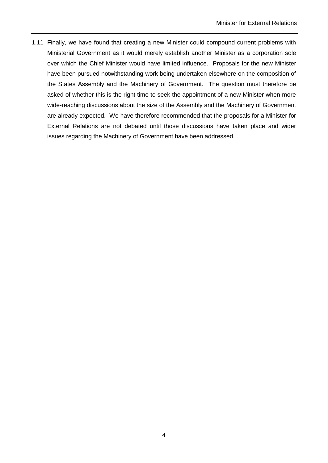1.11 Finally, we have found that creating a new Minister could compound current problems with Ministerial Government as it would merely establish another Minister as a corporation sole over which the Chief Minister would have limited influence. Proposals for the new Minister have been pursued notwithstanding work being undertaken elsewhere on the composition of the States Assembly and the Machinery of Government. The question must therefore be asked of whether this is the right time to seek the appointment of a new Minister when more wide-reaching discussions about the size of the Assembly and the Machinery of Government are already expected. We have therefore recommended that the proposals for a Minister for External Relations are not debated until those discussions have taken place and wider issues regarding the Machinery of Government have been addressed.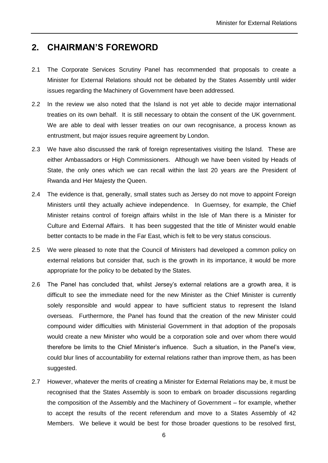### <span id="page-8-0"></span>**2. CHAIRMAN'S FOREWORD**

- 2.1 The Corporate Services Scrutiny Panel has recommended that proposals to create a Minister for External Relations should not be debated by the States Assembly until wider issues regarding the Machinery of Government have been addressed.
- 2.2 In the review we also noted that the Island is not yet able to decide major international treaties on its own behalf. It is still necessary to obtain the consent of the UK government. We are able to deal with lesser treaties on our own recognisance, a process known as entrustment, but major issues require agreement by London.
- 2.3 We have also discussed the rank of foreign representatives visiting the Island. These are either Ambassadors or High Commissioners. Although we have been visited by Heads of State, the only ones which we can recall within the last 20 years are the President of Rwanda and Her Majesty the Queen.
- 2.4 The evidence is that, generally, small states such as Jersey do not move to appoint Foreign Ministers until they actually achieve independence. In Guernsey, for example, the Chief Minister retains control of foreign affairs whilst in the Isle of Man there is a Minister for Culture and External Affairs. It has been suggested that the title of Minister would enable better contacts to be made in the Far East, which is felt to be very status conscious.
- 2.5 We were pleased to note that the Council of Ministers had developed a common policy on external relations but consider that, such is the growth in its importance, it would be more appropriate for the policy to be debated by the States.
- 2.6 The Panel has concluded that, whilst Jersey's external relations are a growth area, it is difficult to see the immediate need for the new Minister as the Chief Minister is currently solely responsible and would appear to have sufficient status to represent the Island overseas. Furthermore, the Panel has found that the creation of the new Minister could compound wider difficulties with Ministerial Government in that adoption of the proposals would create a new Minister who would be a corporation sole and over whom there would therefore be limits to the Chief Minister's influence. Such a situation, in the Panel's view, could blur lines of accountability for external relations rather than improve them, as has been suggested.
- 2.7 However, whatever the merits of creating a Minister for External Relations may be, it must be recognised that the States Assembly is soon to embark on broader discussions regarding the composition of the Assembly and the Machinery of Government – for example, whether to accept the results of the recent referendum and move to a States Assembly of 42 Members. We believe it would be best for those broader questions to be resolved first,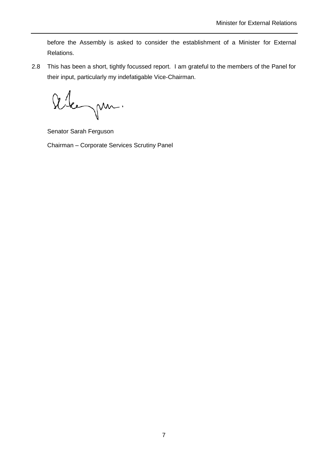before the Assembly is asked to consider the establishment of a Minister for External Relations.

2.8 This has been a short, tightly focussed report. I am grateful to the members of the Panel for their input, particularly my indefatigable Vice-Chairman.

Alegan.

Senator Sarah Ferguson

Chairman – Corporate Services Scrutiny Panel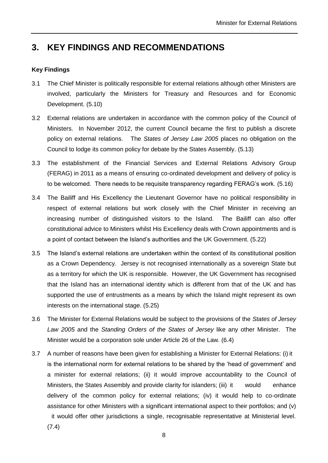## <span id="page-10-0"></span>**3. KEY FINDINGS AND RECOMMENDATIONS**

#### **Key Findings**

- 3.1 The Chief Minister is politically responsible for external relations although other Ministers are involved, particularly the Ministers for Treasury and Resources and for Economic Development. (5.10)
- 3.2 External relations are undertaken in accordance with the common policy of the Council of Ministers. In November 2012, the current Council became the first to publish a discrete policy on external relations. The *States of Jersey Law 2005* places no obligation on the Council to lodge its common policy for debate by the States Assembly. (5.13)
- 3.3 The establishment of the Financial Services and External Relations Advisory Group (FERAG) in 2011 as a means of ensuring co-ordinated development and delivery of policy is to be welcomed. There needs to be requisite transparency regarding FERAG's work. (5.16)
- 3.4 The Bailiff and His Excellency the Lieutenant Governor have no political responsibility in respect of external relations but work closely with the Chief Minister in receiving an increasing number of distinguished visitors to the Island. The Bailiff can also offer constitutional advice to Ministers whilst His Excellency deals with Crown appointments and is a point of contact between the Island's authorities and the UK Government. (5.22)
- 3.5 The Island's external relations are undertaken within the context of its constitutional position as a Crown Dependency. Jersey is not recognised internationally as a sovereign State but as a territory for which the UK is responsible. However, the UK Government has recognised that the Island has an international identity which is different from that of the UK and has supported the use of entrustments as a means by which the Island might represent its own interests on the international stage. (5.25)
- 3.6 The Minister for External Relations would be subject to the provisions of the *States of Jersey Law 2005* and the *Standing Orders of the States of Jersey* like any other Minister. The Minister would be a corporation sole under Article 26 of the Law. (6.4)
- 3.7 A number of reasons have been given for establishing a Minister for External Relations: (i) it is the international norm for external relations to be shared by the 'head of government' and a minister for external relations; (ii) it would improve accountability to the Council of Ministers, the States Assembly and provide clarity for islanders; (iii) it would enhance delivery of the common policy for external relations; (iv) it would help to co-ordinate assistance for other Ministers with a significant international aspect to their portfolios; and (v)

it would offer other jurisdictions a single, recognisable representative at Ministerial level. (7.4)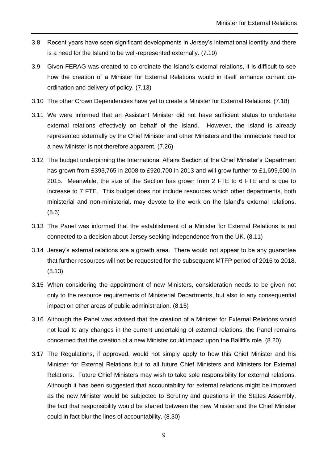- 3.8 Recent years have seen significant developments in Jersey's international identity and there is a need for the Island to be well-represented externally. (7.10)
- 3.9 Given FERAG was created to co-ordinate the Island's external relations, it is difficult to see how the creation of a Minister for External Relations would in itself enhance current coordination and delivery of policy. (7.13)
- 3.10 The other Crown Dependencies have yet to create a Minister for External Relations. (7.18)
- 3.11 We were informed that an Assistant Minister did not have sufficient status to undertake external relations effectively on behalf of the Island. However, the Island is already represented externally by the Chief Minister and other Ministers and the immediate need for a new Minister is not therefore apparent. (7.26)
- 3.12 The budget underpinning the International Affairs Section of the Chief Minister's Department has grown from £393,765 in 2008 to £920,700 in 2013 and will grow further to £1,699,600 in 2015. Meanwhile, the size of the Section has grown from 2 FTE to 6 FTE and is due to increase to 7 FTE. This budget does not include resources which other departments, both ministerial and non-ministerial, may devote to the work on the Island's external relations. (8.6)
- 3.13 The Panel was informed that the establishment of a Minister for External Relations is not connected to a decision about Jersey seeking independence from the UK. (8.11)
- 3.14 Jersey's external relations are a growth area. There would not appear to be any guarantee that further resources will not be requested for the subsequent MTFP period of 2016 to 2018. (8.13)
- 3.15 When considering the appointment of new Ministers, consideration needs to be given not only to the resource requirements of Ministerial Departments, but also to any consequential impact on other areas of public administration. (8.15)
- 3.16 Although the Panel was advised that the creation of a Minister for External Relations would not lead to any changes in the current undertaking of external relations, the Panel remains concerned that the creation of a new Minister could impact upon the Bailiff's role. (8.20)
- 3.17 The Regulations, if approved, would not simply apply to how this Chief Minister and his Minister for External Relations but to all future Chief Ministers and Ministers for External Relations. Future Chief Ministers may wish to take sole responsibility for external relations. Although it has been suggested that accountability for external relations might be improved as the new Minister would be subjected to Scrutiny and questions in the States Assembly, the fact that responsibility would be shared between the new Minister and the Chief Minister could in fact blur the lines of accountability. (8.30)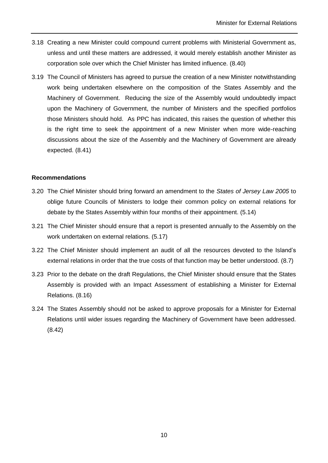- 3.18 Creating a new Minister could compound current problems with Ministerial Government as, unless and until these matters are addressed, it would merely establish another Minister as corporation sole over which the Chief Minister has limited influence. (8.40)
- 3.19 The Council of Ministers has agreed to pursue the creation of a new Minister notwithstanding work being undertaken elsewhere on the composition of the States Assembly and the Machinery of Government. Reducing the size of the Assembly would undoubtedly impact upon the Machinery of Government, the number of Ministers and the specified portfolios those Ministers should hold. As PPC has indicated, this raises the question of whether this is the right time to seek the appointment of a new Minister when more wide-reaching discussions about the size of the Assembly and the Machinery of Government are already expected. (8.41)

#### **Recommendations**

- 3.20 The Chief Minister should bring forward an amendment to the *States of Jersey Law 2005* to oblige future Councils of Ministers to lodge their common policy on external relations for debate by the States Assembly within four months of their appointment. (5.14)
- 3.21 The Chief Minister should ensure that a report is presented annually to the Assembly on the work undertaken on external relations. (5.17)
- 3.22 The Chief Minister should implement an audit of all the resources devoted to the Island's external relations in order that the true costs of that function may be better understood. (8.7)
- 3.23 Prior to the debate on the draft Regulations, the Chief Minister should ensure that the States Assembly is provided with an Impact Assessment of establishing a Minister for External Relations. (8.16)
- 3.24 The States Assembly should not be asked to approve proposals for a Minister for External Relations until wider issues regarding the Machinery of Government have been addressed. (8.42)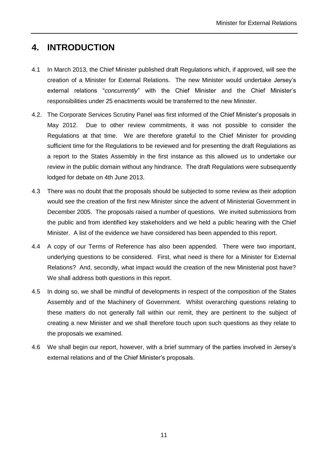## <span id="page-13-0"></span>**4. INTRODUCTION**

- 4.1 In March 2013, the Chief Minister published draft Regulations which, if approved, will see the creation of a Minister for External Relations. The new Minister would undertake Jersey's external relations "*concurrently*" with the Chief Minister and the Chief Minister's responsibilities under 25 enactments would be transferred to the new Minister.
- 4.2. The Corporate Services Scrutiny Panel was first informed of the Chief Minister's proposals in May 2012. Due to other review commitments, it was not possible to consider the Regulations at that time. We are therefore grateful to the Chief Minister for providing sufficient time for the Regulations to be reviewed and for presenting the draft Regulations as a report to the States Assembly in the first instance as this allowed us to undertake our review in the public domain without any hindrance. The draft Regulations were subsequently lodged for debate on 4th June 2013.
- 4.3 There was no doubt that the proposals should be subjected to some review as their adoption would see the creation of the first new Minister since the advent of Ministerial Government in December 2005. The proposals raised a number of questions. We invited submissions from the public and from identified key stakeholders and we held a public hearing with the Chief Minister. A list of the evidence we have considered has been appended to this report.
- 4.4 A copy of our Terms of Reference has also been appended. There were two important, underlying questions to be considered. First, what need is there for a Minister for External Relations? And, secondly, what impact would the creation of the new Ministerial post have? We shall address both questions in this report.
- 4.5 In doing so, we shall be mindful of developments in respect of the composition of the States Assembly and of the Machinery of Government. Whilst overarching questions relating to these matters do not generally fall within our remit, they are pertinent to the subject of creating a new Minister and we shall therefore touch upon such questions as they relate to the proposals we examined.
- 4.6 We shall begin our report, however, with a brief summary of the parties involved in Jersey's external relations and of the Chief Minister's proposals.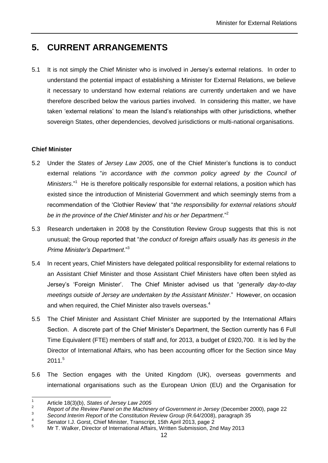## <span id="page-14-0"></span>**5. CURRENT ARRANGEMENTS**

5.1 It is not simply the Chief Minister who is involved in Jersey's external relations. In order to understand the potential impact of establishing a Minister for External Relations, we believe it necessary to understand how external relations are currently undertaken and we have therefore described below the various parties involved. In considering this matter, we have taken 'external relations' to mean the Island's relationships with other jurisdictions, whether sovereign States, other dependencies, devolved jurisdictions or multi-national organisations.

#### **Chief Minister**

- 5.2 Under the *States of Jersey Law 2005*, one of the Chief Minister's functions is to conduct external relations "*in accordance with the common policy agreed by the Council of*  Ministers."<sup>1</sup> He is therefore politically responsible for external relations, a position which has existed since the introduction of Ministerial Government and which seemingly stems from a recommendation of the 'Clothier Review' that "*the responsibility for external relations should be in the province of the Chief Minister and his or her Department*."<sup>2</sup>
- 5.3 Research undertaken in 2008 by the Constitution Review Group suggests that this is not unusual; the Group reported that "*the conduct of foreign affairs usually has its genesis in the Prime Minister's Department*."<sup>3</sup>
- 5.4 In recent years, Chief Ministers have delegated political responsibility for external relations to an Assistant Chief Minister and those Assistant Chief Ministers have often been styled as Jersey's 'Foreign Minister'. The Chief Minister advised us that "*generally day-to-day meetings outside of Jersey are undertaken by the Assistant Minister*." However, on occasion and when required, the Chief Minister also travels overseas.<sup>4</sup>
- 5.5 The Chief Minister and Assistant Chief Minister are supported by the International Affairs Section. A discrete part of the Chief Minister's Department, the Section currently has 6 Full Time Equivalent (FTE) members of staff and, for 2013, a budget of £920,700. It is led by the Director of International Affairs, who has been accounting officer for the Section since May  $2011.<sup>5</sup>$
- 5.6 The Section engages with the United Kingdom (UK), overseas governments and international organisations such as the European Union (EU) and the Organisation for

 $\frac{1}{1}$ Article 18(3)(b), *States of Jersey Law 2005*

<sup>2</sup> *Report of the Review Panel on the Machinery of Government in Jersey* (December 2000), page 22

<sup>3</sup> Second Interim Report of the Constitution Review Group (R.64/2008), paragraph 35

<sup>4</sup> Senator I.J. Gorst, Chief Minister, Transcript, 15th April 2013, page 2

<sup>5</sup> Mr T. Walker, Director of International Affairs, Written Submission, 2nd May 2013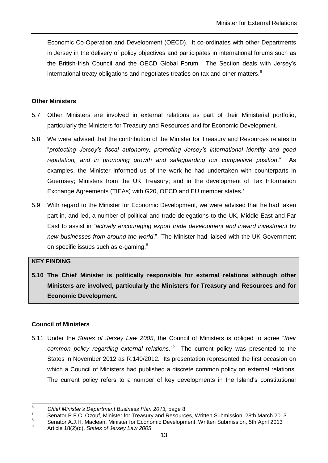Economic Co-Operation and Development (OECD). It co-ordinates with other Departments in Jersey in the delivery of policy objectives and participates in international forums such as the British-Irish Council and the OECD Global Forum. The Section deals with Jersey's international treaty obligations and negotiates treaties on tax and other matters. $6$ 

#### **Other Ministers**

- 5.7 Other Ministers are involved in external relations as part of their Ministerial portfolio, particularly the Ministers for Treasury and Resources and for Economic Development.
- 5.8 We were advised that the contribution of the Minister for Treasury and Resources relates to "*protecting Jersey's fiscal autonomy, promoting Jersey's international identity and good reputation, and in promoting growth and safeguarding our competitive position*." As examples, the Minister informed us of the work he had undertaken with counterparts in Guernsey; Ministers from the UK Treasury; and in the development of Tax Information Exchange Agreements (TIEAs) with G20, OECD and EU member states.<sup>7</sup>
- 5.9 With regard to the Minister for Economic Development, we were advised that he had taken part in, and led, a number of political and trade delegations to the UK, Middle East and Far East to assist in "*actively encouraging export trade development and inward investment by new businesses from around the world*." The Minister had liaised with the UK Government on specific issues such as e-gaming. $8$

#### **KEY FINDING**

**5.10 The Chief Minister is politically responsible for external relations although other Ministers are involved, particularly the Ministers for Treasury and Resources and for Economic Development.**

#### **Council of Ministers**

5.11 Under the *States of Jersey Law 2005*, the Council of Ministers is obliged to agree "*their common policy regarding external relations*."<sup>9</sup> The current policy was presented to the States in November 2012 as R.140/2012. Its presentation represented the first occasion on which a Council of Ministers had published a discrete common policy on external relations. The current policy refers to a number of key developments in the Island's constitutional

7 Senator P.F.C. Ozouf, Minister for Treasury and Resources, Written Submission, 28th March 2013 8

<sup>6</sup> <sup>6</sup> *Chief Minister's Department Business Plan 2013,* page 8

Senator A.J.H. Maclean, Minister for Economic Development, Written Submission, 5th April 2013

<sup>9</sup> Article 18(2)(c), *States of Jersey Law 2005*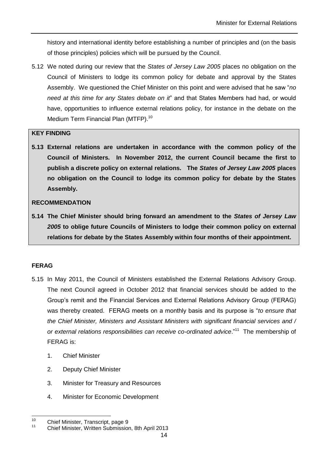history and international identity before establishing a number of principles and (on the basis of those principles) policies which will be pursued by the Council.

5.12 We noted during our review that the *States of Jersey Law 2005* places no obligation on the Council of Ministers to lodge its common policy for debate and approval by the States Assembly. We questioned the Chief Minister on this point and were advised that he saw "*no need at this time for any States debate on it*" and that States Members had had, or would have, opportunities to influence external relations policy, for instance in the debate on the Medium Term Financial Plan (MTFP).<sup>10</sup>

#### **KEY FINDING**

**5.13 External relations are undertaken in accordance with the common policy of the Council of Ministers. In November 2012, the current Council became the first to publish a discrete policy on external relations. The** *States of Jersey Law 2005* **places no obligation on the Council to lodge its common policy for debate by the States Assembly.**

#### **RECOMMENDATION**

**5.14 The Chief Minister should bring forward an amendment to the** *States of Jersey Law 2005* **to oblige future Councils of Ministers to lodge their common policy on external relations for debate by the States Assembly within four months of their appointment.**

#### **FERAG**

- 5.15 In May 2011, the Council of Ministers established the External Relations Advisory Group. The next Council agreed in October 2012 that financial services should be added to the Group's remit and the Financial Services and External Relations Advisory Group (FERAG) was thereby created. FERAG meets on a monthly basis and its purpose is "*to ensure that the Chief Minister, Ministers and Assistant Ministers with significant financial services and /*  or external relations responsibilities can receive co-ordinated advice."<sup>11</sup> The membership of FERAG is:
	- 1. Chief Minister
	- 2. Deputy Chief Minister
	- 3. Minister for Treasury and Resources
	- 4. Minister for Economic Development

 $10$  $10^{10}$  Chief Minister, Transcript, page 9

<sup>11</sup> Chief Minister, Written Submission, 8th April 2013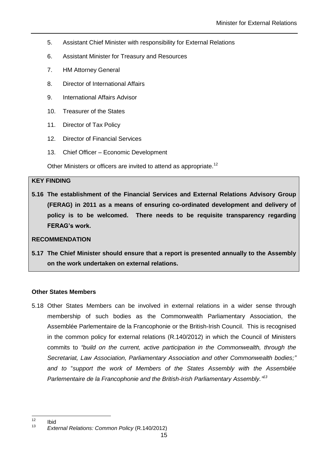- 5. Assistant Chief Minister with responsibility for External Relations
- 6. Assistant Minister for Treasury and Resources
- 7. HM Attorney General
- 8. Director of International Affairs
- 9. International Affairs Advisor
- 10. Treasurer of the States
- 11. Director of Tax Policy
- 12. Director of Financial Services
- 13. Chief Officer Economic Development

Other Ministers or officers are invited to attend as appropriate.<sup>12</sup>

#### **KEY FINDING**

**5.16 The establishment of the Financial Services and External Relations Advisory Group (FERAG) in 2011 as a means of ensuring co-ordinated development and delivery of policy is to be welcomed. There needs to be requisite transparency regarding FERAG's work.** 

#### **RECOMMENDATION**

**5.17 The Chief Minister should ensure that a report is presented annually to the Assembly on the work undertaken on external relations.**

#### **Other States Members**

5.18 Other States Members can be involved in external relations in a wider sense through membership of such bodies as the Commonwealth Parliamentary Association, the Assemblée Parlementaire de la Francophonie or the British-Irish Council. This is recognised in the common policy for external relations (R.140/2012) in which the Council of Ministers commits to *"build on the current, active participation in the Commonwealth, through the Secretariat, Law Association, Parliamentary Association and other Commonwealth bodies;" and to* "*support the work of Members of the States Assembly with the Assemblée Parlementaire de la Francophonie and the British-Irish Parliamentary Assembly." 13*

 $12<sup>12</sup>$  $\frac{12}{13}$  Ibid

<sup>13</sup> *External Relations: Common Policy* (R.140/2012)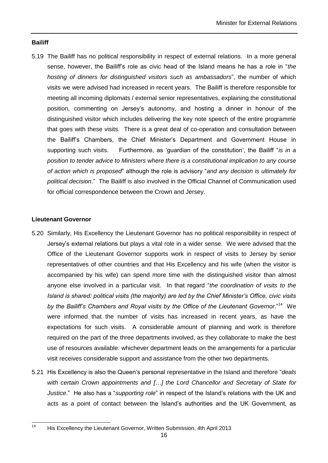#### **Bailiff**

5.19 The Bailiff has no political responsibility in respect of external relations. In a more general sense, however, the Bailiff's role as civic head of the Island means he has a role in "*the hosting of dinners for distinguished visitors such as ambassadors*", the number of which visits we were advised had increased in recent years. The Bailiff is therefore responsible for meeting all incoming diplomats / external senior representatives, explaining the constitutional position, commenting on Jersey's autonomy, and hosting a dinner in honour of the distinguished visitor which includes delivering the key note speech of the entire programme that goes with these visits. There is a great deal of co-operation and consultation between the Bailiff's Chambers, the Chief Minister's Department and Government House in supporting such visits. Furthermore, as 'guardian of the constitution', the Bailiff "*is in a position to tender advice to Ministers where there is a constitutional implication to any course of action which is proposed*" although the role is advisory "*and any decision is ultimately for political decision*." The Bailiff is also involved in the Official Channel of Communication used for official correspondence between the Crown and Jersey.

#### **Lieutenant Governor**

- 5.20 Similarly, His Excellency the Lieutenant Governor has no political responsibility in respect of Jersey's external relations but plays a vital role in a wider sense. We were advised that the Office of the Lieutenant Governor supports work in respect of visits to Jersey by senior representatives of other countries and that His Excellency and his wife (when the visitor is accompanied by his wife) can spend more time with the distinguished visitor than almost anyone else involved in a particular visit. In that regard "*the coordination of visits to the Island is shared: political visits (the majority) are led by the Chief Minister's Office, civic visits*  by the Bailiff's Chambers and Royal visits by the Office of the Lieutenant Governor."<sup>14</sup> We were informed that the number of visits has increased in recent years, as have the expectations for such visits. A considerable amount of planning and work is therefore required on the part of the three departments involved, as they collaborate to make the best use of resources available: whichever department leads on the arrangements for a particular visit receives considerable support and assistance from the other two departments.
- 5.21 His Excellency is also the Queen's personal representative in the Island and therefore "*deals with certain Crown appointments and […] the Lord Chancellor and Secretary of State for Justice*." He also has a "*supporting role*" in respect of the Island's relations with the UK and acts as a point of contact between the Island's authorities and the UK Government, as

 $14$ His Excellency the Lieutenant Governor, Written Submission, 4th April 2013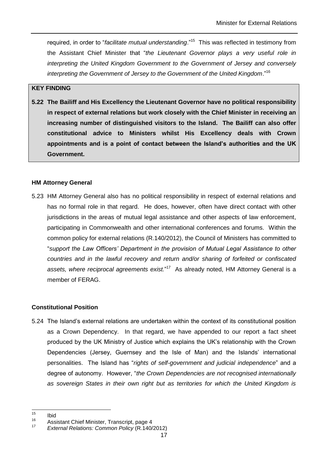required, in order to "*facilitate mutual understanding*."<sup>15</sup> This was reflected in testimony from the Assistant Chief Minister that "*the Lieutenant Governor plays a very useful role in interpreting the United Kingdom Government to the Government of Jersey and conversely interpreting the Government of Jersey to the Government of the United Kingdom*."<sup>16</sup>

#### **KEY FINDING**

**5.22 The Bailiff and His Excellency the Lieutenant Governor have no political responsibility in respect of external relations but work closely with the Chief Minister in receiving an increasing number of distinguished visitors to the Island. The Bailiff can also offer constitutional advice to Ministers whilst His Excellency deals with Crown appointments and is a point of contact between the Island's authorities and the UK Government.**

#### **HM Attorney General**

5.23 HM Attorney General also has no political responsibility in respect of external relations and has no formal role in that regard. He does, however, often have direct contact with other jurisdictions in the areas of mutual legal assistance and other aspects of law enforcement, participating in Commonwealth and other international conferences and forums. Within the common policy for external relations (R.140/2012), the Council of Ministers has committed to "*support the Law Officers' Department in the provision of Mutual Legal Assistance to other countries and in the lawful recovery and return and/or sharing of forfeited or confiscated*  assets, where reciprocal agreements exist."<sup>17</sup> As already noted, HM Attorney General is a member of FERAG.

#### **Constitutional Position**

5.24 The Island's external relations are undertaken within the context of its constitutional position as a Crown Dependency. In that regard, we have appended to our report a fact sheet produced by the UK Ministry of Justice which explains the UK's relationship with the Crown Dependencies (Jersey, Guernsey and the Isle of Man) and the Islands' international personalities. The Island has "*rights of self-government and judicial independence*" and a degree of autonomy. However, "*the Crown Dependencies are not recognised internationally as sovereign States in their own right but as territories for which the United Kingdom is* 

<sup>15</sup>  $\frac{15}{16}$  Ibid

<sup>&</sup>lt;sup>16</sup> Assistant Chief Minister, Transcript, page 4<br><sup>17</sup> External Palational Common Paliau (D. 440)

<sup>17</sup> *External Relations: Common Policy* (R.140/2012)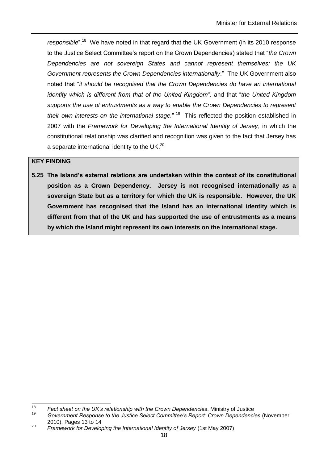responsible".<sup>18</sup> We have noted in that regard that the UK Government (in its 2010 response to the Justice Select Committee's report on the Crown Dependencies) stated that "*the Crown Dependencies are not sovereign States and cannot represent themselves; the UK Government represents the Crown Dependencies internationally*." The UK Government also noted that "*it should be recognised that the Crown Dependencies do have an international identity which is different from that of the United Kingdom",* and that "*the United Kingdom supports the use of entrustments as a way to enable the Crown Dependencies to represent their own interests on the international stage.*" <sup>19</sup> This reflected the position established in 2007 with the *Framework for Developing the International Identity of Jersey*, in which the constitutional relationship was clarified and recognition was given to the fact that Jersey has a separate international identity to the UK. $^{20}$ 

#### **KEY FINDING**

**5.25 The Island's external relations are undertaken within the context of its constitutional position as a Crown Dependency. Jersey is not recognised internationally as a sovereign State but as a territory for which the UK is responsible. However, the UK Government has recognised that the Island has an international identity which is different from that of the UK and has supported the use of entrustments as a means by which the Island might represent its own interests on the international stage.**

<sup>18</sup> <sup>18</sup> *Fact sheet on the UK's relationship with the Crown Dependencies*, Ministry of Justice

<sup>19</sup> *Government Response to the Justice Select Committee's Report: Crown Dependencies* (November 2010), Pages 13 to 14

<sup>20</sup> *Framework for Developing the International Identity of Jersey* (1st May 2007)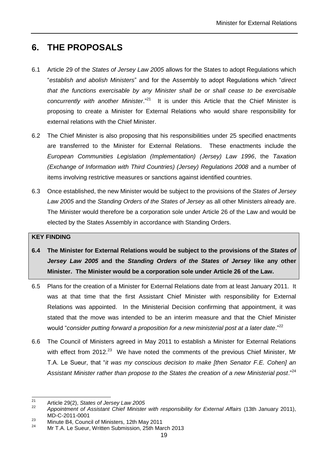## <span id="page-21-0"></span>**6. THE PROPOSALS**

- 6.1 Article 29 of the *States of Jersey Law 2005* allows for the States to adopt Regulations which "*establish and abolish Ministers*" and for the Assembly to adopt Regulations which "*direct that the functions exercisable by any Minister shall be or shall cease to be exercisable*  concurrently with another Minister."<sup>21</sup> It is under this Article that the Chief Minister is proposing to create a Minister for External Relations who would share responsibility for external relations with the Chief Minister.
- 6.2 The Chief Minister is also proposing that his responsibilities under 25 specified enactments are transferred to the Minister for External Relations. These enactments include the *European Communities Legislation (Implementation) (Jersey) Law 1996*, the *Taxation (Exchange of Information with Third Countries) (Jersey) Regulations 2008* and a number of items involving restrictive measures or sanctions against identified countries.
- 6.3 Once established, the new Minister would be subject to the provisions of the *States of Jersey Law 2005* and the *Standing Orders of the States of Jersey* as all other Ministers already are. The Minister would therefore be a corporation sole under Article 26 of the Law and would be elected by the States Assembly in accordance with Standing Orders.

#### **KEY FINDING**

- **6.4 The Minister for External Relations would be subject to the provisions of the** *States of Jersey Law 2005* **and the** *Standing Orders of the States of Jersey* **like any other Minister. The Minister would be a corporation sole under Article 26 of the Law.**
- 6.5 Plans for the creation of a Minister for External Relations date from at least January 2011. It was at that time that the first Assistant Chief Minister with responsibility for External Relations was appointed. In the Ministerial Decision confirming that appointment, it was stated that the move was intended to be an interim measure and that the Chief Minister would "consider putting forward a proposition for a new ministerial post at a later date."<sup>22</sup>
- 6.6 The Council of Ministers agreed in May 2011 to establish a Minister for External Relations with effect from 2012.<sup>23</sup> We have noted the comments of the previous Chief Minister, Mr T.A. Le Sueur, that "*it was my conscious decision to make [then Senator F.E. Cohen] an*  Assistant Minister rather than propose to the States the creation of a new Ministerial post."<sup>24</sup>

 $21$ <sup>21</sup> Article 29(2), *States of Jersey Law 2005*

<sup>22</sup> *Appointment of Assistant Chief Minister with responsibility for External Affairs* (13th January 2011), MD-C-2011-0001

<sup>23</sup> Minute B4, Council of Ministers, 12th May 2011<br> $24$  Minute B4, Council of Ministers, 12th May 2011

Mr T.A. Le Sueur, Written Submission, 25th March 2013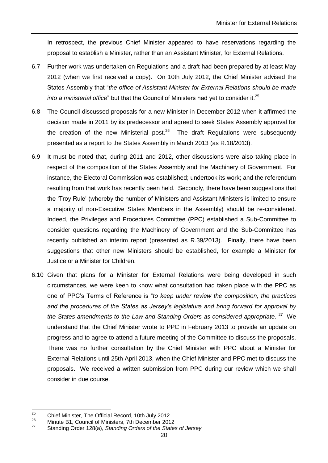In retrospect, the previous Chief Minister appeared to have reservations regarding the proposal to establish a Minister, rather than an Assistant Minister, for External Relations.

- 6.7 Further work was undertaken on Regulations and a draft had been prepared by at least May 2012 (when we first received a copy). On 10th July 2012, the Chief Minister advised the States Assembly that "*the office of Assistant Minister for External Relations should be made into a ministerial office*" but that the Council of Ministers had yet to consider it.<sup>25</sup>
- 6.8 The Council discussed proposals for a new Minister in December 2012 when it affirmed the decision made in 2011 by its predecessor and agreed to seek States Assembly approval for the creation of the new Ministerial post. $26$  The draft Regulations were subsequently presented as a report to the States Assembly in March 2013 (as R.18/2013).
- 6.9 It must be noted that, during 2011 and 2012, other discussions were also taking place in respect of the composition of the States Assembly and the Machinery of Government. For instance, the Electoral Commission was established; undertook its work; and the referendum resulting from that work has recently been held. Secondly, there have been suggestions that the 'Troy Rule' (whereby the number of Ministers and Assistant Ministers is limited to ensure a majority of non-Executive States Members in the Assembly) should be re-considered. Indeed, the Privileges and Procedures Committee (PPC) established a Sub-Committee to consider questions regarding the Machinery of Government and the Sub-Committee has recently published an interim report (presented as R.39/2013). Finally, there have been suggestions that other new Ministers should be established, for example a Minister for Justice or a Minister for Children.
- 6.10 Given that plans for a Minister for External Relations were being developed in such circumstances, we were keen to know what consultation had taken place with the PPC as one of PPC's Terms of Reference is "*to keep under review the composition, the practices and the procedures of the States as Jersey's legislature and bring forward for approval by*  the States amendments to the Law and Standing Orders as considered appropriate."<sup>27</sup> We understand that the Chief Minister wrote to PPC in February 2013 to provide an update on progress and to agree to attend a future meeting of the Committee to discuss the proposals. There was no further consultation by the Chief Minister with PPC about a Minister for External Relations until 25th April 2013, when the Chief Minister and PPC met to discuss the proposals. We received a written submission from PPC during our review which we shall consider in due course.

<sup>25</sup> <sup>25</sup> Chief Minister, The Official Record, 10th July 2012

<sup>&</sup>lt;sup>26</sup> Minute B1, Council of Ministers, 7th December 2012

<sup>27</sup> Standing Order 128(a), *Standing Orders of the States of Jersey*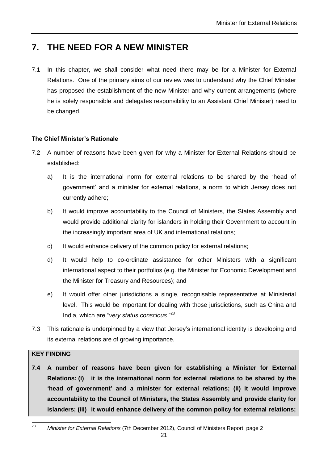## <span id="page-23-0"></span>**7. THE NEED FOR A NEW MINISTER**

7.1 In this chapter, we shall consider what need there may be for a Minister for External Relations. One of the primary aims of our review was to understand why the Chief Minister has proposed the establishment of the new Minister and why current arrangements (where he is solely responsible and delegates responsibility to an Assistant Chief Minister) need to be changed.

#### **The Chief Minister's Rationale**

- 7.2 A number of reasons have been given for why a Minister for External Relations should be established:
	- a) It is the international norm for external relations to be shared by the 'head of government' and a minister for external relations, a norm to which Jersey does not currently adhere;
	- b) It would improve accountability to the Council of Ministers, the States Assembly and would provide additional clarity for islanders in holding their Government to account in the increasingly important area of UK and international relations;
	- c) It would enhance delivery of the common policy for external relations;
	- d) It would help to co-ordinate assistance for other Ministers with a significant international aspect to their portfolios (e.g. the Minister for Economic Development and the Minister for Treasury and Resources); and
	- e) It would offer other jurisdictions a single, recognisable representative at Ministerial level. This would be important for dealing with those jurisdictions, such as China and India, which are "*very status conscious*."<sup>28</sup>
- 7.3 This rationale is underpinned by a view that Jersey's international identity is developing and its external relations are of growing importance.

#### **KEY FINDING**

**7.4 A number of reasons have been given for establishing a Minister for External Relations: (i) it is the international norm for external relations to be shared by the 'head of government' and a minister for external relations; (ii) it would improve accountability to the Council of Ministers, the States Assembly and provide clarity for islanders; (iii) it would enhance delivery of the common policy for external relations;**

 $\overline{28}$ <sup>28</sup> *Minister for External Relations* (7th December 2012), Council of Ministers Report, page 2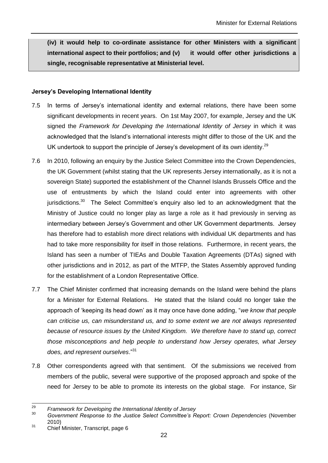**(iv) it would help to co-ordinate assistance for other Ministers with a significant international aspect to their portfolios; and (v) it would offer other jurisdictions a single, recognisable representative at Ministerial level.**

#### **Jersey's Developing International Identity**

- 7.5 In terms of Jersey's international identity and external relations, there have been some significant developments in recent years. On 1st May 2007, for example, Jersey and the UK signed the *Framework for Developing the International Identity of Jersey* in which it was acknowledged that the Island's international interests might differ to those of the UK and the UK undertook to support the principle of Jersey's development of its own identity.<sup>29</sup>
- 7.6 In 2010, following an enquiry by the Justice Select Committee into the Crown Dependencies, the UK Government (whilst stating that the UK represents Jersey internationally, as it is not a sovereign State) supported the establishment of the Channel Islands Brussels Office and the use of entrustments by which the Island could enter into agreements with other jurisdictions.<sup>30</sup> The Select Committee's enquiry also led to an acknowledgment that the Ministry of Justice could no longer play as large a role as it had previously in serving as intermediary between Jersey's Government and other UK Government departments. Jersey has therefore had to establish more direct relations with individual UK departments and has had to take more responsibility for itself in those relations. Furthermore, in recent years, the Island has seen a number of TIEAs and Double Taxation Agreements (DTAs) signed with other jurisdictions and in 2012, as part of the MTFP, the States Assembly approved funding for the establishment of a London Representative Office.
- 7.7 The Chief Minister confirmed that increasing demands on the Island were behind the plans for a Minister for External Relations. He stated that the Island could no longer take the approach of 'keeping its head down' as it may once have done adding, "*we know that people can criticise us, can misunderstand us, and to some extent we are not always represented because of resource issues by the United Kingdom. We therefore have to stand up, correct those misconceptions and help people to understand how Jersey operates, what Jersey does, and represent ourselves*."<sup>31</sup>
- 7.8 Other correspondents agreed with that sentiment. Of the submissions we received from members of the public, several were supportive of the proposed approach and spoke of the need for Jersey to be able to promote its interests on the global stage. For instance, Sir

<sup>29</sup> <sup>29</sup> *Framework for Developing the International Identity of Jersey*

<sup>30</sup> *Government Response to the Justice Select Committee's Report: Crown Dependencies* (November 2010)

<sup>31</sup> Chief Minister, Transcript, page 6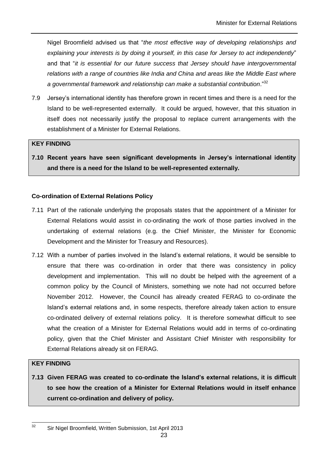Nigel Broomfield advised us that "*the most effective way of developing relationships and explaining your interests is by doing it yourself, in this case for Jersey to act independently*" and that "*it is essential for our future success that Jersey should have intergovernmental relations with a range of countries like India and China and areas like the Middle East where a governmental framework and relationship can make a substantial contribution*."<sup>32</sup>

7.9 Jersey's international identity has therefore grown in recent times and there is a need for the Island to be well-represented externally. It could be argued, however, that this situation in itself does not necessarily justify the proposal to replace current arrangements with the establishment of a Minister for External Relations.

#### **KEY FINDING**

**7.10 Recent years have seen significant developments in Jersey's international identity and there is a need for the Island to be well-represented externally.**

#### **Co-ordination of External Relations Policy**

- 7.11 Part of the rationale underlying the proposals states that the appointment of a Minister for External Relations would assist in co-ordinating the work of those parties involved in the undertaking of external relations (e.g. the Chief Minister, the Minister for Economic Development and the Minister for Treasury and Resources).
- 7.12 With a number of parties involved in the Island's external relations, it would be sensible to ensure that there was co-ordination in order that there was consistency in policy development and implementation. This will no doubt be helped with the agreement of a common policy by the Council of Ministers, something we note had not occurred before November 2012. However, the Council has already created FERAG to co-ordinate the Island's external relations and, in some respects, therefore already taken action to ensure co-ordinated delivery of external relations policy. It is therefore somewhat difficult to see what the creation of a Minister for External Relations would add in terms of co-ordinating policy, given that the Chief Minister and Assistant Chief Minister with responsibility for External Relations already sit on FERAG.

#### **KEY FINDING**

**7.13 Given FERAG was created to co-ordinate the Island's external relations, it is difficult to see how the creation of a Minister for External Relations would in itself enhance current co-ordination and delivery of policy.**

 $32$ <sup>32</sup> Sir Nigel Broomfield, Written Submission, 1st April 2013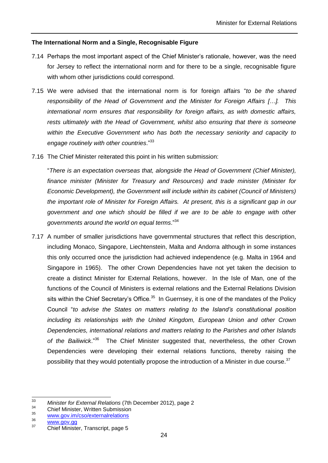#### **The International Norm and a Single, Recognisable Figure**

- 7.14 Perhaps the most important aspect of the Chief Minister's rationale, however, was the need for Jersey to reflect the international norm and for there to be a single, recognisable figure with whom other jurisdictions could correspond.
- 7.15 We were advised that the international norm is for foreign affairs "*to be the shared responsibility of the Head of Government and the Minister for Foreign Affairs […]. This international norm ensures that responsibility for foreign affairs, as with domestic affairs, rests ultimately with the Head of Government, whilst also ensuring that there is someone within the Executive Government who has both the necessary seniority and capacity to engage routinely with other countries*."<sup>33</sup>
- 7.16 The Chief Minister reiterated this point in his written submission:

"*There is an expectation overseas that, alongside the Head of Government (Chief Minister), finance minister (Minister for Treasury and Resources) and trade minister (Minister for Economic Development), the Government will include within its cabinet (Council of Ministers) the important role of Minister for Foreign Affairs. At present, this is a significant gap in our government and one which should be filled if we are to be able to engage with other governments around the world on equal terms*."<sup>34</sup>

7.17 A number of smaller jurisdictions have governmental structures that reflect this description, including Monaco, Singapore, Liechtenstein, Malta and Andorra although in some instances this only occurred once the jurisdiction had achieved independence (e.g. Malta in 1964 and Singapore in 1965). The other Crown Dependencies have not yet taken the decision to create a distinct Minister for External Relations, however. In the Isle of Man, one of the functions of the Council of Ministers is external relations and the External Relations Division sits within the Chief Secretary's Office.<sup>35</sup> In Guernsey, it is one of the mandates of the Policy Council "*to advise the States on matters relating to the Island's constitutional position including its relationships with the United Kingdom, European Union and other Crown Dependencies, international relations and matters relating to the Parishes and other Islands*  of the Bailiwick."<sup>36</sup> The Chief Minister suggested that, nevertheless, the other Crown Dependencies were developing their external relations functions, thereby raising the possibility that they would potentially propose the introduction of a Minister in due course.<sup>37</sup>

<sup>33</sup> <sup>33</sup> *Minister for External Relations* (7th December 2012), page 2

 $35$  Chief Minister, Written Submission

<sup>&</sup>lt;sup>35</sup> [www.gov.im/cso/externalrelations](http://www.gov.im/cso/externalrelations)

 $rac{36}{37}$  WWW.gov.gg

<sup>37</sup> Chief Minister, Transcript, page 5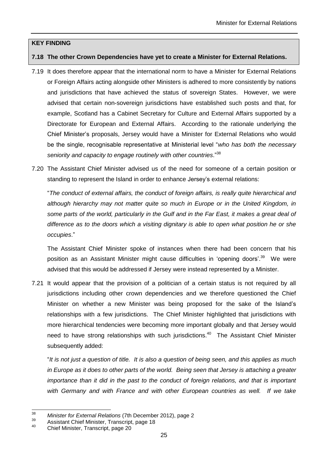#### **KEY FINDING**

#### **7.18 The other Crown Dependencies have yet to create a Minister for External Relations.**

- 7.19 It does therefore appear that the international norm to have a Minister for External Relations or Foreign Affairs acting alongside other Ministers is adhered to more consistently by nations and jurisdictions that have achieved the status of sovereign States. However, we were advised that certain non-sovereign jurisdictions have established such posts and that, for example, Scotland has a Cabinet Secretary for Culture and External Affairs supported by a Directorate for European and External Affairs. According to the rationale underlying the Chief Minister's proposals, Jersey would have a Minister for External Relations who would be the single, recognisable representative at Ministerial level "*who has both the necessary seniority and capacity to engage routinely with other countries*."<sup>38</sup>
- 7.20 The Assistant Chief Minister advised us of the need for someone of a certain position or standing to represent the Island in order to enhance Jersey's external relations:

"*The conduct of external affairs, the conduct of foreign affairs, is really quite hierarchical and although hierarchy may not matter quite so much in Europe or in the United Kingdom, in some parts of the world, particularly in the Gulf and in the Far East, it makes a great deal of difference as to the doors which a visiting dignitary is able to open what position he or she occupies*."

The Assistant Chief Minister spoke of instances when there had been concern that his position as an Assistant Minister might cause difficulties in 'opening doors'.<sup>39</sup> We were advised that this would be addressed if Jersey were instead represented by a Minister.

7.21 It would appear that the provision of a politician of a certain status is not required by all jurisdictions including other crown dependencies and we therefore questioned the Chief Minister on whether a new Minister was being proposed for the sake of the Island's relationships with a few jurisdictions. The Chief Minister highlighted that jurisdictions with more hierarchical tendencies were becoming more important globally and that Jersey would need to have strong relationships with such jurisdictions.<sup>40</sup> The Assistant Chief Minister subsequently added:

"*It is not just a question of title. It is also a question of being seen, and this applies as much in Europe as it does to other parts of the world. Being seen that Jersey is attaching a greater importance than it did in the past to the conduct of foreign relations, and that is important with Germany and with France and with other European countries as well. If we take* 

<sup>38</sup> <sup>38</sup> *Minister for External Relations* (7th December 2012), page 2

 $39$  Assistant Chief Minister, Transcript, page 18

<sup>40</sup> Chief Minister, Transcript, page 20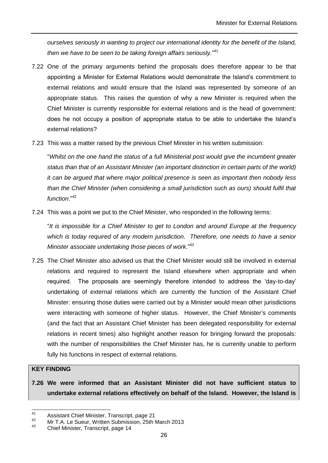*ourselves seriously in wanting to project our international identity for the benefit of the Island, then we have to be seen to be taking foreign affairs seriously.*" 41

- 7.22 One of the primary arguments behind the proposals does therefore appear to be that appointing a Minister for External Relations would demonstrate the Island's commitment to external relations and would ensure that the Island was represented by someone of an appropriate status. This raises the question of why a new Minister is required when the Chief Minister is currently responsible for external relations and is the head of government: does he not occupy a position of appropriate status to be able to undertake the Island's external relations?
- 7.23 This was a matter raised by the previous Chief Minister in his written submission:

"*Whilst on the one hand the status of a full Ministerial post would give the incumbent greater status than that of an Assistant Minister (an important distinction in certain parts of the world) it can be argued that where major political presence is seen as important then nobody less than the Chief Minister (when considering a small jurisdiction such as ours) should fulfil that function*."<sup>42</sup>

7.24 This was a point we put to the Chief Minister, who responded in the following terms:

"*It is impossible for a Chief Minister to get to London and around Europe at the frequency which is today required of any modern jurisdiction. Therefore, one needs to have a senior Minister associate undertaking those pieces of work*."<sup>43</sup>

7.25 The Chief Minister also advised us that the Chief Minister would still be involved in external relations and required to represent the Island elsewhere when appropriate and when required. The proposals are seemingly therefore intended to address the 'day-to-day' undertaking of external relations which are currently the function of the Assistant Chief Minister: ensuring those duties were carried out by a Minister would mean other jurisdictions were interacting with someone of higher status. However, the Chief Minister's comments (and the fact that an Assistant Chief Minister has been delegated responsibility for external relations in recent times) also highlight another reason for bringing forward the proposals: with the number of responsibilities the Chief Minister has, he is currently unable to perform fully his functions in respect of external relations.

#### **KEY FINDING**

**<sup>7.26</sup> We were informed that an Assistant Minister did not have sufficient status to undertake external relations effectively on behalf of the Island. However, the Island is** 

<sup>41</sup> <sup>41</sup> Assistant Chief Minister, Transcript, page 21<br><sup>42</sup> M<sub>4</sub>T<sub>A</sub> Le Sueur Written Submission 25th l

<sup>&</sup>lt;sup>42</sup> Mr T.A. Le Sueur, Written Submission, 25th March 2013

<sup>43</sup> Chief Minister, Transcript, page 14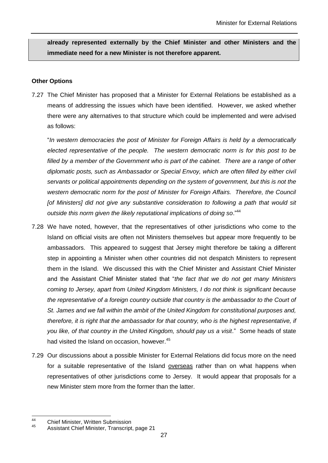**already represented externally by the Chief Minister and other Ministers and the immediate need for a new Minister is not therefore apparent.** 

#### **Other Options**

7.27 The Chief Minister has proposed that a Minister for External Relations be established as a means of addressing the issues which have been identified. However, we asked whether there were any alternatives to that structure which could be implemented and were advised as follows:

"*In western democracies the post of Minister for Foreign Affairs is held by a democratically elected representative of the people. The western democratic norm is for this post to be filled by a member of the Government who is part of the cabinet. There are a range of other diplomatic posts, such as Ambassador or Special Envoy, which are often filled by either civil servants or political appointments depending on the system of government, but this is not the western democratic norm for the post of Minister for Foreign Affairs. Therefore, the Council [of Ministers] did not give any substantive consideration to following a path that would sit outside this norm given the likely reputational implications of doing so*."<sup>44</sup>

- 7.28 We have noted, however, that the representatives of other jurisdictions who come to the Island on official visits are often not Ministers themselves but appear more frequently to be ambassadors. This appeared to suggest that Jersey might therefore be taking a different step in appointing a Minister when other countries did not despatch Ministers to represent them in the Island. We discussed this with the Chief Minister and Assistant Chief Minister and the Assistant Chief Minister stated that "*the fact that we do not get many Ministers coming to Jersey, apart from United Kingdom Ministers, I do not think is significant because the representative of a foreign country outside that country is the ambassador to the Court of St. James and we fall within the ambit of the United Kingdom for constitutional purposes and, therefore, it is right that the ambassador for that country, who is the highest representative, if you like, of that country in the United Kingdom, should pay us a visit*." Some heads of state had visited the Island on occasion, however.<sup>45</sup>
- 7.29 Our discussions about a possible Minister for External Relations did focus more on the need for a suitable representative of the Island overseas rather than on what happens when representatives of other jurisdictions come to Jersey. It would appear that proposals for a new Minister stem more from the former than the latter.

 $44$ <sup>44</sup> Chief Minister, Written Submission<br><sup>45</sup> Apsistant Chief Minister, Transarint

<sup>45</sup> Assistant Chief Minister, Transcript, page 21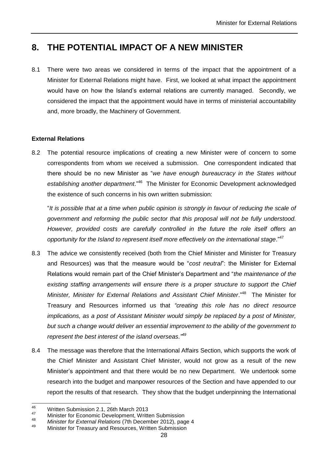## <span id="page-30-0"></span>**8. THE POTENTIAL IMPACT OF A NEW MINISTER**

8.1 There were two areas we considered in terms of the impact that the appointment of a Minister for External Relations might have. First, we looked at what impact the appointment would have on how the Island's external relations are currently managed. Secondly, we considered the impact that the appointment would have in terms of ministerial accountability and, more broadly, the Machinery of Government.

#### **External Relations**

8.2 The potential resource implications of creating a new Minister were of concern to some correspondents from whom we received a submission. One correspondent indicated that there should be no new Minister as "*we have enough bureaucracy in the States without*  establishing another department."<sup>46</sup> The Minister for Economic Development acknowledged the existence of such concerns in his own written submission:

"*It is possible that at a time when public opinion is strongly in favour of reducing the scale of government and reforming the public sector that this proposal will not be fully understood. However, provided costs are carefully controlled in the future the role itself offers an opportunity for the Island to represent itself more effectively on the international stage*."<sup>47</sup>

- 8.3 The advice we consistently received (both from the Chief Minister and Minister for Treasury and Resources) was that the measure would be "*cost neutral*": the Minister for External Relations would remain part of the Chief Minister's Department and "*the maintenance of the existing staffing arrangements will ensure there is a proper structure to support the Chief*  Minister, Minister for External Relations and Assistant Chief Minister."<sup>48</sup> The Minister for Treasury and Resources informed us that *"creating this role has no direct resource implications, as a post of Assistant Minister would simply be replaced by a post of Minister, but such a change would deliver an essential improvement to the ability of the government to represent the best interest of the island overseas."<sup>49</sup>*
- 8.4 The message was therefore that the International Affairs Section, which supports the work of the Chief Minister and Assistant Chief Minister, would not grow as a result of the new Minister's appointment and that there would be no new Department. We undertook some research into the budget and manpower resources of the Section and have appended to our report the results of that research. They show that the budget underpinning the International

<sup>46</sup>  $^{46}$  Written Submission 2.1, 26th March 2013

<sup>&</sup>lt;sup>47</sup> Minister for Economic Development, Written Submission<br><sup>48</sup> Minister for External Belatings (7th December 2012), near

<sup>48</sup> *Minister for External Relations* (7th December 2012), page 4

Minister for Treasury and Resources, Written Submission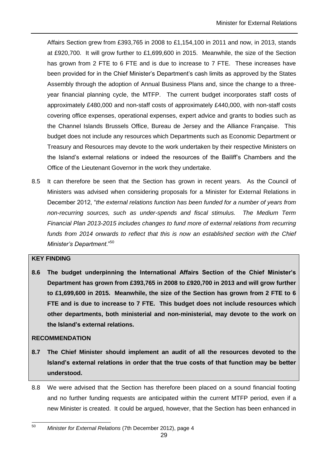Affairs Section grew from £393,765 in 2008 to £1,154,100 in 2011 and now, in 2013, stands at £920,700. It will grow further to £1,699,600 in 2015. Meanwhile, the size of the Section has grown from 2 FTE to 6 FTE and is due to increase to 7 FTE. These increases have been provided for in the Chief Minister's Department's cash limits as approved by the States Assembly through the adoption of Annual Business Plans and, since the change to a threeyear financial planning cycle, the MTFP. The current budget incorporates staff costs of approximately £480,000 and non-staff costs of approximately £440,000, with non-staff costs covering office expenses, operational expenses, expert advice and grants to bodies such as the Channel Islands Brussels Office, Bureau de Jersey and the Alliance Française. This budget does not include any resources which Departments such as Economic Department or Treasury and Resources may devote to the work undertaken by their respective Ministers on the Island's external relations or indeed the resources of the Bailiff's Chambers and the Office of the Lieutenant Governor in the work they undertake.

8.5 It can therefore be seen that the Section has grown in recent years. As the Council of Ministers was advised when considering proposals for a Minister for External Relations in December 2012, "*the external relations function has been funded for a number of years from non-recurring sources, such as under-spends and fiscal stimulus. The Medium Term Financial Plan 2013-2015 includes changes to fund more of external relations from recurring*  funds from 2014 onwards to reflect that this is now an established section with the Chief *Minister's Department*."<sup>50</sup>

#### **KEY FINDING**

**8.6 The budget underpinning the International Affairs Section of the Chief Minister's Department has grown from £393,765 in 2008 to £920,700 in 2013 and will grow further to £1,699,600 in 2015. Meanwhile, the size of the Section has grown from 2 FTE to 6 FTE and is due to increase to 7 FTE. This budget does not include resources which other departments, both ministerial and non-ministerial, may devote to the work on the Island's external relations.**

#### **RECOMMENDATION**

- **8.7 The Chief Minister should implement an audit of all the resources devoted to the Island's external relations in order that the true costs of that function may be better understood.**
- 8.8 We were advised that the Section has therefore been placed on a sound financial footing and no further funding requests are anticipated within the current MTFP period, even if a new Minister is created. It could be argued, however, that the Section has been enhanced in

<sup>50</sup> <sup>50</sup> *Minister for External Relations* (7th December 2012), page 4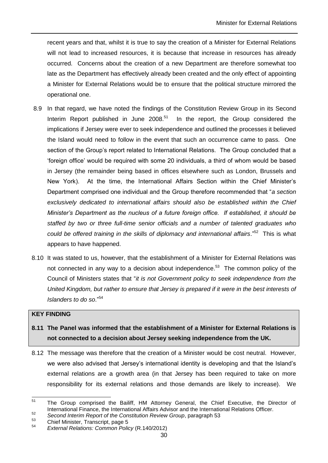recent years and that, whilst it is true to say the creation of a Minister for External Relations will not lead to increased resources, it is because that increase in resources has already occurred. Concerns about the creation of a new Department are therefore somewhat too late as the Department has effectively already been created and the only effect of appointing a Minister for External Relations would be to ensure that the political structure mirrored the operational one.

- 8.9 In that regard, we have noted the findings of the Constitution Review Group in its Second Interim Report published in June  $2008<sup>51</sup>$  In the report, the Group considered the implications if Jersey were ever to seek independence and outlined the processes it believed the Island would need to follow in the event that such an occurrence came to pass. One section of the Group's report related to International Relations. The Group concluded that a 'foreign office' would be required with some 20 individuals, a third of whom would be based in Jersey (the remainder being based in offices elsewhere such as London, Brussels and New York). At the time, the International Affairs Section within the Chief Minister's Department comprised one individual and the Group therefore recommended that "*a section exclusively dedicated to international affairs should also be established within the Chief Minister's Department as the nucleus of a future foreign office. If established, it should be staffed by two or three full-time senior officials and a number of talented graduates who*  could be offered training in the skills of diplomacy and international affairs."<sup>52</sup> This is what appears to have happened.
- 8.10 It was stated to us, however, that the establishment of a Minister for External Relations was not connected in any way to a decision about independence.<sup>53</sup> The common policy of the Council of Ministers states that "*it is not Government policy to seek independence from the United Kingdom, but rather to ensure that Jersey is prepared if it were in the best interests of Islanders to do so*."<sup>54</sup>

#### **KEY FINDING**

- **8.11 The Panel was informed that the establishment of a Minister for External Relations is not connected to a decision about Jersey seeking independence from the UK.**
- 8.12 The message was therefore that the creation of a Minister would be cost neutral. However, we were also advised that Jersey's international identity is developing and that the Island's external relations are a growth area (in that Jersey has been required to take on more responsibility for its external relations and those demands are likely to increase). We

 $51$ <sup>51</sup> The Group comprised the Bailiff, HM Attorney General, the Chief Executive, the Director of International Finance, the International Affairs Advisor and the International Relations Officer.

<sup>52</sup> Second Interim Report of the Constitution Review Group, paragraph 53

 $^{53}$  Chief Minister, Transcript, page 5

<sup>54</sup> *External Relations: Common Policy* (R.140/2012)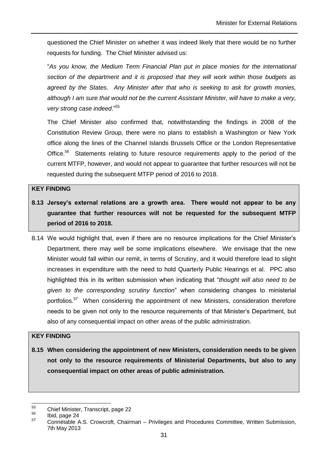questioned the Chief Minister on whether it was indeed likely that there would be no further requests for funding. The Chief Minister advised us:

"*As you know, the Medium Term Financial Plan put in place monies for the international section of the department and it is proposed that they will work within those budgets as agreed by the States. Any Minister after that who is seeking to ask for growth monies, although I am sure that would not be the current Assistant Minister, will have to make a very, very strong case indeed*."<sup>55</sup>

The Chief Minister also confirmed that, notwithstanding the findings in 2008 of the Constitution Review Group, there were no plans to establish a Washington or New York office along the lines of the Channel Islands Brussels Office or the London Representative Office.<sup>56</sup> Statements relating to future resource requirements apply to the period of the current MTFP, however, and would not appear to guarantee that further resources will not be requested during the subsequent MTFP period of 2016 to 2018.

#### **KEY FINDING**

- **8.13 Jersey's external relations are a growth area. There would not appear to be any guarantee that further resources will not be requested for the subsequent MTFP period of 2016 to 2018.**
- 8.14 We would highlight that, even if there are no resource implications for the Chief Minister's Department, there may well be some implications elsewhere. We envisage that the new Minister would fall within our remit, in terms of Scrutiny, and it would therefore lead to slight increases in expenditure with the need to hold Quarterly Public Hearings et al. PPC also highlighted this in its written submission when indicating that "*thought will also need to be given to the corresponding scrutiny function*" when considering changes to ministerial portfolios.<sup>57</sup> When considering the appointment of new Ministers, consideration therefore needs to be given not only to the resource requirements of that Minister's Department, but also of any consequential impact on other areas of the public administration.

#### **KEY FINDING**

**8.15 When considering the appointment of new Ministers, consideration needs to be given not only to the resource requirements of Ministerial Departments, but also to any consequential impact on other areas of public administration.**

<sup>55</sup>  $^{55}$  Chief Minister, Transcript, page 22

 $^{56}$  Ibid, page 24

<sup>57</sup> Connétable A.S. Crowcroft, Chairman – Privileges and Procedures Committee, Written Submission, 7th May 2013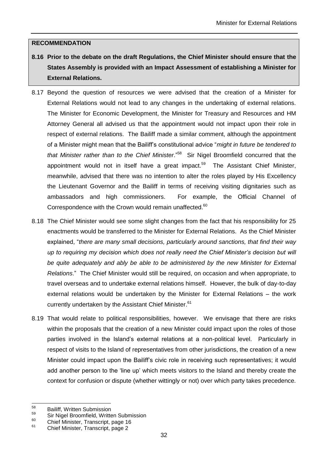#### **RECOMMENDATION**

- **8.16 Prior to the debate on the draft Regulations, the Chief Minister should ensure that the States Assembly is provided with an Impact Assessment of establishing a Minister for External Relations.**
- 8.17 Beyond the question of resources we were advised that the creation of a Minister for External Relations would not lead to any changes in the undertaking of external relations. The Minister for Economic Development, the Minister for Treasury and Resources and HM Attorney General all advised us that the appointment would not impact upon their role in respect of external relations. The Bailiff made a similar comment, although the appointment of a Minister might mean that the Bailiff's constitutional advice "*might in future be tendered to that Minister rather than to the Chief Minister*."<sup>58</sup> Sir Nigel Broomfield concurred that the appointment would not in itself have a great impact.<sup>59</sup> The Assistant Chief Minister, meanwhile, advised that there was no intention to alter the roles played by His Excellency the Lieutenant Governor and the Bailiff in terms of receiving visiting dignitaries such as ambassadors and high commissioners. For example, the Official Channel of Correspondence with the Crown would remain unaffected.<sup>60</sup>
- 8.18 The Chief Minister would see some slight changes from the fact that his responsibility for 25 enactments would be transferred to the Minister for External Relations. As the Chief Minister explained, "*there are many small decisions, particularly around sanctions, that find their way up to requiring my decision which does not really need the Chief Minister's decision but will be quite adequately and ably be able to be administered by the new Minister for External Relations*." The Chief Minister would still be required, on occasion and when appropriate, to travel overseas and to undertake external relations himself. However, the bulk of day-to-day external relations would be undertaken by the Minister for External Relations – the work currently undertaken by the Assistant Chief Minister.<sup>61</sup>
- 8.19 That would relate to political responsibilities, however. We envisage that there are risks within the proposals that the creation of a new Minister could impact upon the roles of those parties involved in the Island's external relations at a non-political level. Particularly in respect of visits to the Island of representatives from other jurisdictions, the creation of a new Minister could impact upon the Bailiff's civic role in receiving such representatives; it would add another person to the 'line up' which meets visitors to the Island and thereby create the context for confusion or dispute (whether wittingly or not) over which party takes precedence.

<sup>58</sup>  $^{58}$  Bailiff, Written Submission

 $^{59}$  Sir Nigel Broomfield, Written Submission

 $^{60}$  Chief Minister, Transcript, page 16<br> $^{61}$  Chief Minister, Transcript, page 2

Chief Minister, Transcript, page 2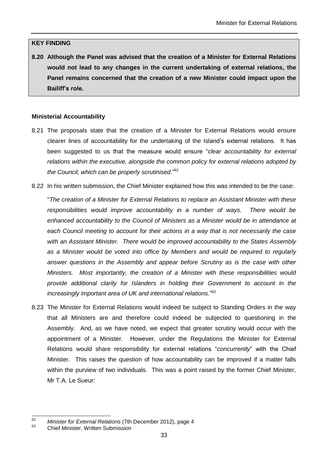#### **KEY FINDING**

**8.20 Although the Panel was advised that the creation of a Minister for External Relations would not lead to any changes in the current undertaking of external relations, the Panel remains concerned that the creation of a new Minister could impact upon the Bailiff's role.**

#### **Ministerial Accountability**

- 8.21 The proposals state that the creation of a Minister for External Relations would ensure clearer lines of accountability for the undertaking of the Island's external relations. It has been suggested to us that the measure would ensure "*clear accountability for external relations within the executive, alongside the common policy for external relations adopted by the Council, which can be properly scrutinised*."<sup>62</sup>
- 8.22 In his written submission, the Chief Minister explained how this was intended to be the case:

"*The creation of a Minister for External Relations to replace an Assistant Minister with these responsibilities would improve accountability in a number of ways. There would be enhanced accountability to the Council of Ministers as a Minister would be in attendance at each Council meeting to account for their actions in a way that is not necessarily the case with an Assistant Minister. There would be improved accountability to the States Assembly as a Minister would be voted into office by Members and would be required to regularly answer questions in the Assembly and appear before Scrutiny as is the case with other Ministers. Most importantly, the creation of a Minister with these responsibilities would provide additional clarity for Islanders in holding their Government to account in the increasingly important area of UK and international relations.*" 63

8.23 The Minister for External Relations would indeed be subject to Standing Orders in the way that all Ministers are and therefore could indeed be subjected to questioning in the Assembly. And, as we have noted, we expect that greater scrutiny would occur with the appointment of a Minister. However, under the Regulations the Minister for External Relations would share responsibility for external relations "*concurrently*" with the Chief Minister. This raises the question of how accountability can be improved if a matter falls within the purview of two individuals. This was a point raised by the former Chief Minister, Mr T.A. Le Sueur:

<sup>62</sup> <sup>62</sup> *Minister for External Relations* (7th December 2012), page 4

<sup>63</sup> Chief Minister, Written Submission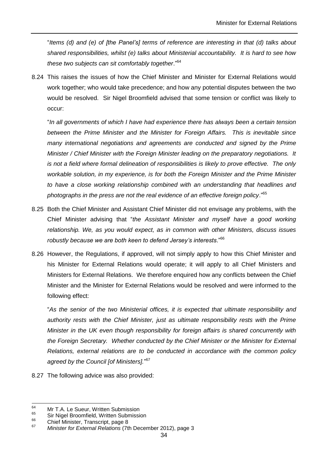"*Items (d) and (e) of [the Panel's] terms of reference are interesting in that (d) talks about shared responsibilities, whilst (e) talks about Ministerial accountability. It is hard to see how these two subjects can sit comfortably together*."<sup>64</sup>

8.24 This raises the issues of how the Chief Minister and Minister for External Relations would work together; who would take precedence; and how any potential disputes between the two would be resolved. Sir Nigel Broomfield advised that some tension or conflict was likely to occur:

"*In all governments of which I have had experience there has always been a certain tension between the Prime Minister and the Minister for Foreign Affairs. This is inevitable since many international negotiations and agreements are conducted and signed by the Prime Minister / Chief Minister with the Foreign Minister leading on the preparatory negotiations. It is not a field where formal delineation of responsibilities is likely to prove effective. The only workable solution, in my experience, is for both the Foreign Minister and the Prime Minister to have a close working relationship combined with an understanding that headlines and photographs in the press are not the real evidence of an effective foreign policy*."<sup>65</sup>

- 8.25 Both the Chief Minister and Assistant Chief Minister did not envisage any problems, with the Chief Minister advising that "*the Assistant Minister and myself have a good working relationship. We, as you would expect, as in common with other Ministers, discuss issues robustly because we are both keen to defend Jersey's interests*."<sup>66</sup>
- 8.26 However, the Regulations, if approved, will not simply apply to how this Chief Minister and his Minister for External Relations would operate; it will apply to all Chief Ministers and Ministers for External Relations. We therefore enquired how any conflicts between the Chief Minister and the Minister for External Relations would be resolved and were informed to the following effect:

"*As the senior of the two Ministerial offices, it is expected that ultimate responsibility and authority rests with the Chief Minister, just as ultimate responsibility rests with the Prime Minister in the UK even though responsibility for foreign affairs is shared concurrently with the Foreign Secretary. Whether conducted by the Chief Minister or the Minister for External Relations, external relations are to be conducted in accordance with the common policy agreed by the Council [of Ministers].*" 67

8.27 The following advice was also provided:

<sup>64</sup>  $^{64}$  Mr T.A. Le Sueur, Written Submission

 $^{65}$  Sir Nigel Broomfield, Written Submission

 $^{66}$  Chief Minister, Transcript, page 8

<sup>67</sup> *Minister for External Relations* (7th December 2012), page 3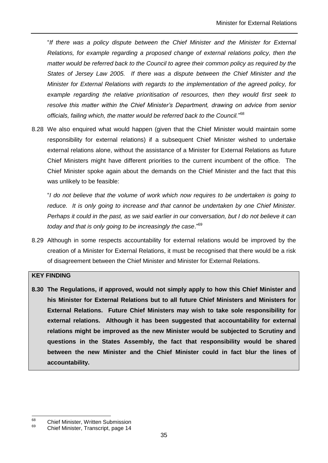"*If there was a policy dispute between the Chief Minister and the Minister for External Relations, for example regarding a proposed change of external relations policy, then the matter would be referred back to the Council to agree their common policy as required by the States of Jersey Law 2005. If there was a dispute between the Chief Minister and the Minister for External Relations with regards to the implementation of the agreed policy, for example regarding the relative prioritisation of resources, then they would first seek to resolve this matter within the Chief Minister's Department, drawing on advice from senior officials, failing which, the matter would be referred back to the Council.*" 68

8.28 We also enquired what would happen (given that the Chief Minister would maintain some responsibility for external relations) if a subsequent Chief Minister wished to undertake external relations alone, without the assistance of a Minister for External Relations as future Chief Ministers might have different priorities to the current incumbent of the office. The Chief Minister spoke again about the demands on the Chief Minister and the fact that this was unlikely to be feasible:

"*I do not believe that the volume of work which now requires to be undertaken is going to reduce. It is only going to increase and that cannot be undertaken by one Chief Minister. Perhaps it could in the past, as we said earlier in our conversation, but I do not believe it can today and that is only going to be increasingly the case*."<sup>69</sup>

8.29 Although in some respects accountability for external relations would be improved by the creation of a Minister for External Relations, it must be recognised that there would be a risk of disagreement between the Chief Minister and Minister for External Relations.

#### **KEY FINDING**

**8.30 The Regulations, if approved, would not simply apply to how this Chief Minister and his Minister for External Relations but to all future Chief Ministers and Ministers for External Relations. Future Chief Ministers may wish to take sole responsibility for external relations. Although it has been suggested that accountability for external relations might be improved as the new Minister would be subjected to Scrutiny and questions in the States Assembly, the fact that responsibility would be shared between the new Minister and the Chief Minister could in fact blur the lines of accountability.**

<sup>68</sup>  $^{68}$  Chief Minister, Written Submission<br> $^{69}$  Chief Minister, Transacint, nege 14

<sup>69</sup> Chief Minister, Transcript, page 14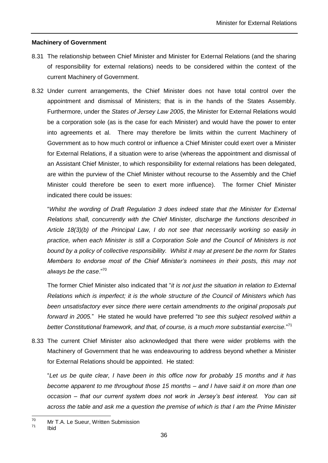#### **Machinery of Government**

- 8.31 The relationship between Chief Minister and Minister for External Relations (and the sharing of responsibility for external relations) needs to be considered within the context of the current Machinery of Government.
- 8.32 Under current arrangements, the Chief Minister does not have total control over the appointment and dismissal of Ministers; that is in the hands of the States Assembly. Furthermore, under the *States of Jersey Law 2005*, the Minister for External Relations would be a corporation sole (as is the case for each Minister) and would have the power to enter into agreements et al. There may therefore be limits within the current Machinery of Government as to how much control or influence a Chief Minister could exert over a Minister for External Relations, if a situation were to arise (whereas the appointment and dismissal of an Assistant Chief Minister, to which responsibility for external relations has been delegated, are within the purview of the Chief Minister without recourse to the Assembly and the Chief Minister could therefore be seen to exert more influence). The former Chief Minister indicated there could be issues:

"*Whilst the wording of Draft Regulation 3 does indeed state that the Minister for External Relations shall, concurrently with the Chief Minister, discharge the functions described in Article 18(3)(b) of the Principal Law, I do not see that necessarily working so easily in practice, when each Minister is still a Corporation Sole and the Council of Ministers is not bound by a policy of collective responsibility. Whilst it may at present be the norm for States Members to endorse most of the Chief Minister's nominees in their posts, this may not always be the case*."<sup>70</sup>

The former Chief Minister also indicated that "*it is not just the situation in relation to External Relations which is imperfect; it is the whole structure of the Council of Ministers which has been unsatisfactory ever since there were certain amendments to the original proposals put forward in 2005.*" He stated he would have preferred "*to see this subject resolved within a better Constitutional framework, and that, of course, is a much more substantial exercise.*" 71

8.33 The current Chief Minister also acknowledged that there were wider problems with the Machinery of Government that he was endeavouring to address beyond whether a Minister for External Relations should be appointed. He stated:

"*Let us be quite clear, I have been in this office now for probably 15 months and it has become apparent to me throughout those 15 months – and I have said it on more than one occasion – that our current system does not work in Jersey's best interest. You can sit across the table and ask me a question the premise of which is that I am the Prime Minister* 

<sup>70</sup>  $\frac{70}{71}$  Mr T.A. Le Sueur, Written Submission

**Ibid**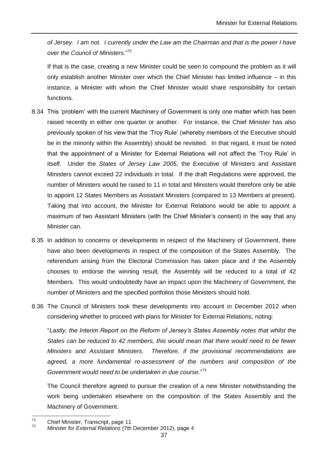*of Jersey. I am not. I currently under the Law am the Chairman and that is the power I have over the Council of Ministers*."<sup>72</sup>

If that is the case, creating a new Minister could be seen to compound the problem as it will only establish another Minister over which the Chief Minister has limited influence – in this instance, a Minister with whom the Chief Minister would share responsibility for certain functions.

- 8.34 This 'problem' with the current Machinery of Government is only one matter which has been raised recently in either one quarter or another. For instance, the Chief Minister has also previously spoken of his view that the 'Troy Rule' (whereby members of the Executive should be in the minority within the Assembly) should be revisited. In that regard, it must be noted that the appointment of a Minister for External Relations will not affect the 'Troy Rule' in itself. Under the *States of Jersey Law 2005*, the Executive of Ministers and Assistant Ministers cannot exceed 22 individuals in total. If the draft Regulations were approved, the number of Ministers would be raised to 11 in total and Ministers would therefore only be able to appoint 12 States Members as Assistant Ministers (compared to 13 Members at present). Taking that into account, the Minister for External Relations would be able to appoint a maximum of two Assistant Ministers (with the Chief Minister's consent) in the way that any Minister can.
- 8.35 In addition to concerns or developments in respect of the Machinery of Government, there have also been developments in respect of the composition of the States Assembly. The referendum arising from the Electoral Commission has taken place and if the Assembly chooses to endorse the winning result, the Assembly will be reduced to a total of 42 Members. This would undoubtedly have an impact upon the Machinery of Government, the number of Ministers and the specified portfolios those Ministers should hold.
- 8.36 The Council of Ministers took these developments into account in December 2012 when considering whether to proceed with plans for Minister for External Relations, noting:

"*Lastly, the Interim Report on the Reform of Jersey's States Assembly notes that whilst the States can be reduced to 42 members, this would mean that there would need to be fewer Ministers and Assistant Ministers. Therefore, if the provisional recommendations are agreed, a more fundamental re-assessment of the numbers and composition of the Government would need to be undertaken in due course.*" 73

The Council therefore agreed to pursue the creation of a new Minister notwithstanding the work being undertaken elsewhere on the composition of the States Assembly and the Machinery of Government.

 $72$  $\frac{72}{73}$  Chief Minister, Transcript, page 11

<sup>73</sup> *Minister for External Relations* (7th December 2012), page 4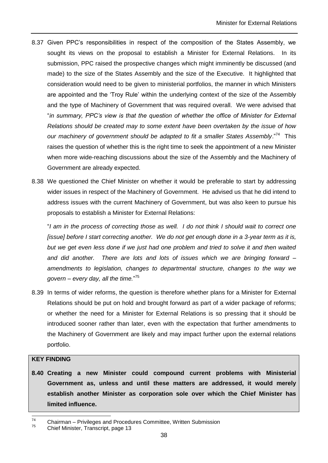- 8.37 Given PPC's responsibilities in respect of the composition of the States Assembly, we sought its views on the proposal to establish a Minister for External Relations. In its submission, PPC raised the prospective changes which might imminently be discussed (and made) to the size of the States Assembly and the size of the Executive. It highlighted that consideration would need to be given to ministerial portfolios, the manner in which Ministers are appointed and the 'Troy Rule' within the underlying context of the size of the Assembly and the type of Machinery of Government that was required overall. We were advised that "*in summary, PPC's view is that the question of whether the office of Minister for External Relations should be created may to some extent have been overtaken by the issue of how*  our machinery of government should be adapted to fit a smaller States Assembly."<sup>74</sup> This raises the question of whether this is the right time to seek the appointment of a new Minister when more wide-reaching discussions about the size of the Assembly and the Machinery of Government are already expected.
- 8.38 We questioned the Chief Minister on whether it would be preferable to start by addressing wider issues in respect of the Machinery of Government. He advised us that he did intend to address issues with the current Machinery of Government, but was also keen to pursue his proposals to establish a Minister for External Relations:

"*I am in the process of correcting those as well. I do not think I should wait to correct one [issue] before I start correcting another. We do not get enough done in a 3-year term as it is, but we get even less done if we just had one problem and tried to solve it and then waited and did another. There are lots and lots of issues which we are bringing forward – amendments to legislation, changes to departmental structure, changes to the way we govern – every day, all the time.*" 75

8.39 In terms of wider reforms, the question is therefore whether plans for a Minister for External Relations should be put on hold and brought forward as part of a wider package of reforms; or whether the need for a Minister for External Relations is so pressing that it should be introduced sooner rather than later, even with the expectation that further amendments to the Machinery of Government are likely and may impact further upon the external relations portfolio.

#### **KEY FINDING**

**8.40 Creating a new Minister could compound current problems with Ministerial Government as, unless and until these matters are addressed, it would merely establish another Minister as corporation sole over which the Chief Minister has limited influence.**

 $74$ <sup>74</sup> Chairman – Privileges and Procedures Committee, Written Submission<br> $75$  Chief Minister, Transarint, noge 13

Chief Minister, Transcript, page 13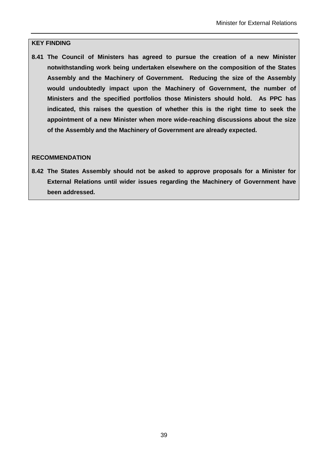#### **KEY FINDING**

**8.41 The Council of Ministers has agreed to pursue the creation of a new Minister notwithstanding work being undertaken elsewhere on the composition of the States Assembly and the Machinery of Government. Reducing the size of the Assembly would undoubtedly impact upon the Machinery of Government, the number of Ministers and the specified portfolios those Ministers should hold. As PPC has indicated, this raises the question of whether this is the right time to seek the appointment of a new Minister when more wide-reaching discussions about the size of the Assembly and the Machinery of Government are already expected.**

#### **RECOMMENDATION**

**8.42 The States Assembly should not be asked to approve proposals for a Minister for External Relations until wider issues regarding the Machinery of Government have been addressed.**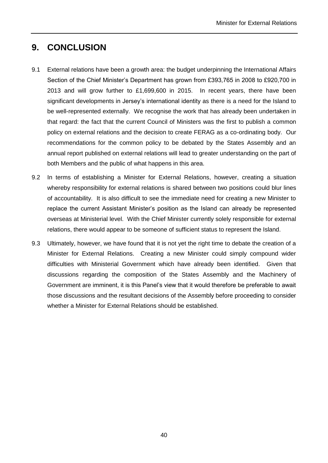## <span id="page-42-0"></span>**9. CONCLUSION**

- 9.1 External relations have been a growth area: the budget underpinning the International Affairs Section of the Chief Minister's Department has grown from £393,765 in 2008 to £920,700 in 2013 and will grow further to £1,699,600 in 2015. In recent years, there have been significant developments in Jersey's international identity as there is a need for the Island to be well-represented externally. We recognise the work that has already been undertaken in that regard: the fact that the current Council of Ministers was the first to publish a common policy on external relations and the decision to create FERAG as a co-ordinating body. Our recommendations for the common policy to be debated by the States Assembly and an annual report published on external relations will lead to greater understanding on the part of both Members and the public of what happens in this area.
- 9.2 In terms of establishing a Minister for External Relations, however, creating a situation whereby responsibility for external relations is shared between two positions could blur lines of accountability. It is also difficult to see the immediate need for creating a new Minister to replace the current Assistant Minister's position as the Island can already be represented overseas at Ministerial level. With the Chief Minister currently solely responsible for external relations, there would appear to be someone of sufficient status to represent the Island.
- 9.3 Ultimately, however, we have found that it is not yet the right time to debate the creation of a Minister for External Relations. Creating a new Minister could simply compound wider difficulties with Ministerial Government which have already been identified. Given that discussions regarding the composition of the States Assembly and the Machinery of Government are imminent, it is this Panel's view that it would therefore be preferable to await those discussions and the resultant decisions of the Assembly before proceeding to consider whether a Minister for External Relations should be established.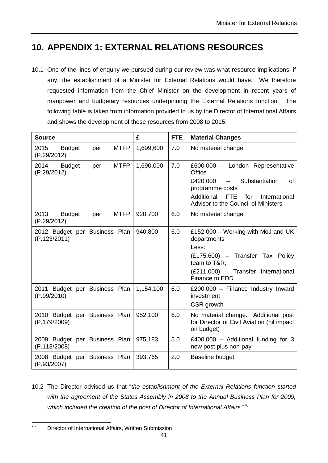## <span id="page-43-0"></span>**10. APPENDIX 1: EXTERNAL RELATIONS RESOURCES**

10.1 One of the lines of enquiry we pursued during our review was what resource implications, if any, the establishment of a Minister for External Relations would have. We therefore requested information from the Chief Minister on the development in recent years of manpower and budgetary resources underpinning the External Relations function. The following table is taken from information provided to us by the Director of International Affairs and shows the development of those resources from 2008 to 2015.

| <b>Source</b>                                              | £         | <b>FTE</b> | <b>Material Changes</b>                                                                                                                                                                        |
|------------------------------------------------------------|-----------|------------|------------------------------------------------------------------------------------------------------------------------------------------------------------------------------------------------|
| <b>MTFP</b><br>2015<br><b>Budget</b><br>per<br>(P.29/2012) | 1,699,600 | 7.0        | No material change                                                                                                                                                                             |
| <b>MTFP</b><br>2014<br><b>Budget</b><br>per<br>(P.29/2012) | 1,690,000 | 7.0        | £600,000 - London Representative<br>Office<br>£420,000<br>- Substantiation<br>οf<br>programme costs<br>Additional<br><b>FTE</b><br>for<br>International<br>Advisor to the Council of Ministers |
| <b>MTFP</b><br>2013<br><b>Budget</b><br>per<br>(P.29/2012) | 920,700   | 6.0        | No material change                                                                                                                                                                             |
| 2012 Budget per Business Plan<br>(P.123/2011)              | 940,800   | 6.0        | £152,000 - Working with MoJ and UK<br>departments<br>Less:<br>(£175,600) - Transfer Tax Policy<br>team to T&R<br>(£211,000) - Transfer International<br>Finance to EDD                         |
| 2011 Budget per Business Plan<br>(P.99/2010)               | 1,154,100 | 6.0        | £200,000 - Finance Industry Inward<br>investment<br>CSR growth                                                                                                                                 |
| 2010 Budget per Business Plan<br>(P.179/2009)              | 952,100   | 6.0        | No material change. Additional post<br>for Director of Civil Aviation (nil impact<br>on budget)                                                                                                |
| 2009 Budget per Business Plan<br>(P.113/2008)              | 975,183   | 5.0        | £400,000 - Additional funding for $3$<br>new post plus non-pay                                                                                                                                 |
| 2008 Budget per Business Plan<br>(P.93/2007)               | 393,765   | 2.0        | Baseline budget                                                                                                                                                                                |

10.2 The Director advised us that "*the establishment of the External Relations function started with the agreement of the States Assembly in 2008 to the Annual Business Plan for 2009, which included the creation of the post of Director of International Affairs*."<sup>76</sup>

<sup>76</sup> Director of International Affairs, Written Submission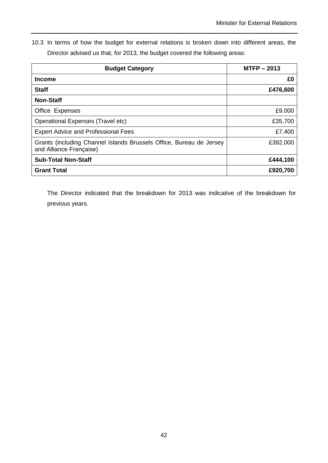10.3 In terms of how the budget for external relations is broken down into different areas, the Director advised us that, for 2013, the budget covered the following areas:

| <b>Budget Category</b>                                                                         | $MTFP - 2013$ |  |
|------------------------------------------------------------------------------------------------|---------------|--|
| <b>Income</b>                                                                                  | £0            |  |
| <b>Staff</b>                                                                                   | £476,600      |  |
| <b>Non-Staff</b>                                                                               |               |  |
| <b>Office Expenses</b>                                                                         | £9.000        |  |
| Operational Expenses (Travel etc)                                                              | £35,700       |  |
| <b>Expert Advice and Professional Fees</b>                                                     | £7,400        |  |
| Grants (including Channel Islands Brussels Office, Bureau de Jersey<br>and Alliance Française) | £392,000      |  |
| <b>Sub-Total Non-Staff</b>                                                                     | £444,100      |  |
| <b>Grant Total</b>                                                                             | £920,700      |  |

The Director indicated that the breakdown for 2013 was indicative of the breakdown for previous years.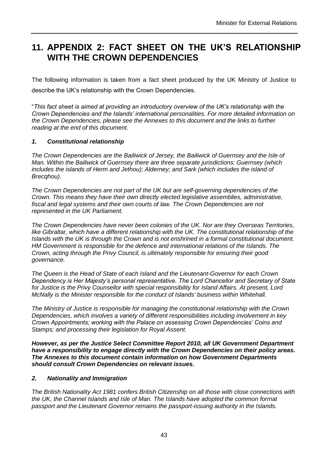## <span id="page-45-0"></span>**11. APPENDIX 2: FACT SHEET ON THE UK'S RELATIONSHIP WITH THE CROWN DEPENDENCIES**

The following information is taken from a fact sheet produced by the UK Ministry of Justice to describe the UK's relationship with the Crown Dependencies.

"*This fact sheet is aimed at providing an introductory overview of the UK's relationship with the Crown Dependencies and the Islands' international personalities. For more detailed information on the Crown Dependencies, please see the Annexes to this document and the links to further reading at the end of this document.* 

#### *1. Constitutional relationship*

*The Crown Dependencies are the Bailiwick of Jersey, the Bailiwick of Guernsey and the Isle of Man. Within the Bailiwick of Guernsey there are three separate jurisdictions: Guernsey (which*  includes the islands of Herm and Jethou); Alderney; and Sark (which includes the island of *Brecqhou).* 

*The Crown Dependencies are not part of the UK but are self-governing dependencies of the Crown. This means they have their own directly elected legislative assemblies, administrative, fiscal and legal systems and their own courts of law. The Crown Dependencies are not represented in the UK Parliament.* 

*The Crown Dependencies have never been colonies of the UK. Nor are they Overseas Territories, like Gibraltar, which have a different relationship with the UK. The constitutional relationship of the Islands with the UK is through the Crown and is not enshrined in a formal constitutional document. HM Government is responsible for the defence and international relations of the Islands. The Crown, acting through the Privy Council, is ultimately responsible for ensuring their good governance.* 

*The Queen is the Head of State of each Island and the Lieutenant-Governor for each Crown Dependency is Her Majesty's personal representative. The Lord Chancellor and Secretary of State for Justice is the Privy Counsellor with special responsibility for Island Affairs. At present, Lord McNally is the Minister responsible for the conduct of Islands' business within Whitehall.* 

*The Ministry of Justice is responsible for managing the constitutional relationship with the Crown Dependencies, which involves a variety of different responsibilities including involvement in key Crown Appointments; working with the Palace on assessing Crown Dependencies' Coins and Stamps; and processing their legislation for Royal Assent.* 

*However, as per the Justice Select Committee Report 2010, all UK Government Department have a responsibility to engage directly with the Crown Dependencies on their policy areas. The Annexes to this document contain information on how Government Departments should consult Crown Dependencies on relevant issues.*

#### *2. Nationality and Immigration*

*The British Nationality Act 1981 confers British Citizenship on all those with close connections with the UK, the Channel Islands and Isle of Man. The Islands have adopted the common format passport and the Lieutenant Governor remains the passport-issuing authority in the Islands.*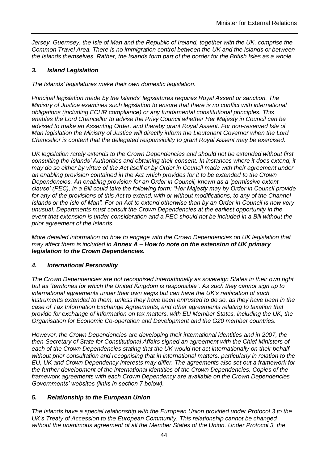*Jersey, Guernsey, the Isle of Man and the Republic of Ireland, together with the UK, comprise the Common Travel Area. There is no immigration control between the UK and the Islands or between the Islands themselves. Rather, the Islands form part of the border for the British Isles as a whole.* 

#### *3. Island Legislation*

*The Islands' legislatures make their own domestic legislation.* 

*Principal legislation made by the Islands' legislatures requires Royal Assent or sanction. The Ministry of Justice examines such legislation to ensure that there is no conflict with international obligations (including ECHR compliance) or any fundamental constitutional principles. This enables the Lord Chancellor to advise the Privy Council whether Her Majesty in Council can be advised to make an Assenting Order, and thereby grant Royal Assent. For non-reserved Isle of Man legislation the Ministry of Justice will directly inform the Lieutenant Governor when the Lord Chancellor is content that the delegated responsibility to grant Royal Assent may be exercised.* 

*UK legislation rarely extends to the Crown Dependencies and should not be extended without first consulting the Islands' Authorities and obtaining their consent. In instances where it does extend, it may do so either by virtue of the Act itself or by Order in Council made with their agreement under an enabling provision contained in the Act which provides for it to be extended to the Crown Dependencies. An enabling provision for an Order in Council, known as a 'permissive extent clause' (PEC), in a Bill could take the following form: "Her Majesty may by Order in Council provide*  for any of the provisions of this Act to extend, with or without modifications, to any of the Channel *Islands or the Isle of Man". For an Act to extend otherwise than by an Order in Council is now very unusual. Departments must consult the Crown Dependencies at the earliest opportunity in the event that extension is under consideration and a PEC should not be included in a Bill without the prior agreement of the Islands.* 

*More detailed information on how to engage with the Crown Dependencies on UK legislation that may affect them is included in Annex A – How to note on the extension of UK primary legislation to the Crown Dependencies.* 

#### *4. International Personality*

*The Crown Dependencies are not recognised internationally as sovereign States in their own right but as "territories for which the United Kingdom is responsible". As such they cannot sign up to international agreements under their own aegis but can have the UK's ratification of such instruments extended to them, unless they have been entrusted to do so, as they have been in the case of Tax Information Exchange Agreements, and other agreements relating to taxation that provide for exchange of information on tax matters, with EU Member States, including the UK, the Organisation for Economic Co-operation and Development and the G20 member countries.*

*However, the Crown Dependencies are developing their international identities and in 2007, the then-Secretary of State for Constitutional Affairs signed an agreement with the Chief Ministers of*  each of the Crown Dependencies stating that the UK would not act internationally on their behalf *without prior consultation and recognising that in international matters, particularly in relation to the EU, UK and Crown Dependency interests may differ. The agreements also set out a framework for the further development of the international identities of the Crown Dependencies. Copies of the framework agreements with each Crown Dependency are available on the Crown Dependencies Governments' websites (links in section 7 below).*

#### *5. Relationship to the European Union*

*The Islands have a special relationship with the European Union provided under Protocol 3 to the UK's Treaty of Accession to the European Community. This relationship cannot be changed without the unanimous agreement of all the Member States of the Union. Under Protocol 3, the*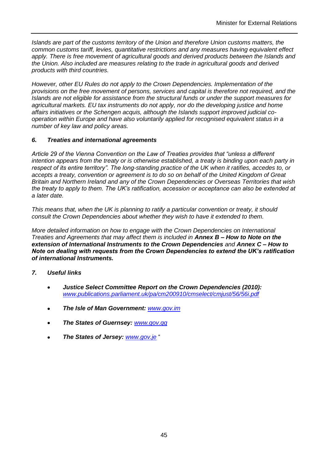*Islands are part of the customs territory of the Union and therefore Union customs matters, the common customs tariff, levies, quantitative restrictions and any measures having equivalent effect*  apply. There is free movement of agricultural goods and derived products between the Islands and *the Union. Also included are measures relating to the trade in agricultural goods and derived products with third countries.* 

*However, other EU Rules do not apply to the Crown Dependencies. Implementation of the provisions on the free movement of persons, services and capital is therefore not required, and the Islands are not eligible for assistance from the structural funds or under the support measures for agricultural markets. EU tax instruments do not apply, nor do the developing justice and home affairs initiatives or the Schengen acquis, although the Islands support improved judicial cooperation within Europe and have also voluntarily applied for recognised equivalent status in a number of key law and policy areas.* 

#### *6. Treaties and international agreements*

*Article 29 of the Vienna Convention on the Law of Treaties provides that "unless a different intention appears from the treaty or is otherwise established, a treaty is binding upon each party in respect of its entire territory". The long-standing practice of the UK when it ratifies, accedes to, or accepts a treaty, convention or agreement is to do so on behalf of the United Kingdom of Great Britain and Northern Ireland and any of the Crown Dependencies or Overseas Territories that wish the treaty to apply to them. The UK's ratification, accession or acceptance can also be extended at a later date.* 

*This means that, when the UK is planning to ratify a particular convention or treaty, it should consult the Crown Dependencies about whether they wish to have it extended to them.* 

*More detailed information on how to engage with the Crown Dependencies on International Treaties and Agreements that may affect them is included in Annex B – How to Note on the extension of International Instruments to the Crown Dependencies and Annex C – How to Note on dealing with requests from the Crown Dependencies to extend the UK's ratification of international Instruments.*

#### *7. Useful links*

- *Justice Select Committee Report on the Crown Dependencies (2010): [www.publications.parliament.uk/pa/cm200910/cmselect/cmjust/56/56i.pdf](http://www.publications.parliament.uk/pa/cm200910/cmselect/cmjust/56/56i.pdf)*
- *The Isle of Man Government: [www.gov.im](http://www.gov.im/)*
- *The States of Guernsey: [www.gov.gg](http://www.gov.gg/)*
- *The States of Jersey: [www.gov.je](http://www.gov.je/)* "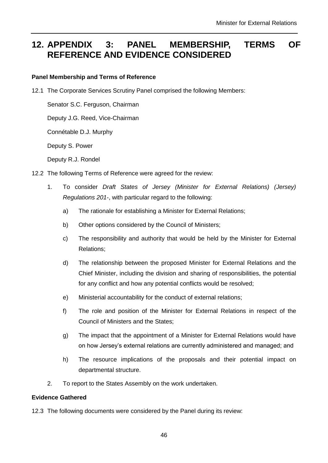## <span id="page-48-0"></span>**12. APPENDIX 3: PANEL MEMBERSHIP, TERMS OF REFERENCE AND EVIDENCE CONSIDERED**

#### **Panel Membership and Terms of Reference**

12.1 The Corporate Services Scrutiny Panel comprised the following Members:

Senator S.C. Ferguson, Chairman

Deputy J.G. Reed, Vice-Chairman

Connétable D.J. Murphy

Deputy S. Power

Deputy R.J. Rondel

- 12.2 The following Terms of Reference were agreed for the review:
	- 1. To consider *Draft States of Jersey (Minister for External Relations) (Jersey) Regulations 201-*, with particular regard to the following:
		- a) The rationale for establishing a Minister for External Relations;
		- b) Other options considered by the Council of Ministers;
		- c) The responsibility and authority that would be held by the Minister for External Relations;
		- d) The relationship between the proposed Minister for External Relations and the Chief Minister, including the division and sharing of responsibilities, the potential for any conflict and how any potential conflicts would be resolved;
		- e) Ministerial accountability for the conduct of external relations;
		- f) The role and position of the Minister for External Relations in respect of the Council of Ministers and the States;
		- g) The impact that the appointment of a Minister for External Relations would have on how Jersey's external relations are currently administered and managed; and
		- h) The resource implications of the proposals and their potential impact on departmental structure.
	- 2. To report to the States Assembly on the work undertaken.

#### **Evidence Gathered**

12.3 The following documents were considered by the Panel during its review: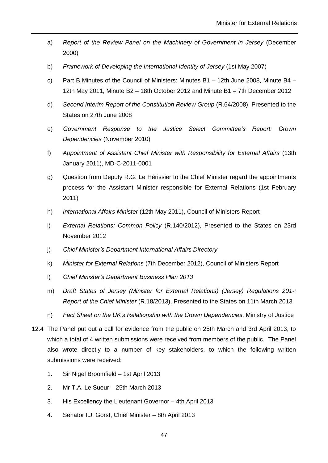- a) *Report of the Review Panel on the Machinery of Government in Jersey* (December 2000)
- b) *Framework of Developing the International Identity of Jersey* (1st May 2007)
- c) Part B Minutes of the Council of Ministers: Minutes B1 12th June 2008, Minute B4 12th May 2011, Minute B2 – 18th October 2012 and Minute B1 – 7th December 2012
- d) *Second Interim Report of the Constitution Review Group* (R.64/2008), Presented to the States on 27th June 2008
- e) *Government Response to the Justice Select Committee's Report: Crown Dependencies* (November 2010)
- f) *Appointment of Assistant Chief Minister with Responsibility for External Affairs* (13th January 2011), MD-C-2011-0001
- g) Question from Deputy R.G. Le Hérissier to the Chief Minister regard the appointments process for the Assistant Minister responsible for External Relations (1st February 2011)
- h) *International Affairs Minister* (12th May 2011), Council of Ministers Report
- i) *External Relations: Common Policy* (R.140/2012), Presented to the States on 23rd November 2012
- j) *Chief Minister's Department International Affairs Directory*
- k) *Minister for External Relations* (7th December 2012), Council of Ministers Report
- l) *Chief Minister's Department Business Plan 2013*
- m) *Draft States of Jersey (Minister for External Relations) (Jersey) Regulations 201-: Report of the Chief Minister* (R.18/2013), Presented to the States on 11th March 2013
- n) *Fact Sheet on the UK's Relationship with the Crown Dependencies*, Ministry of Justice
- 12.4 The Panel put out a call for evidence from the public on 25th March and 3rd April 2013, to which a total of 4 written submissions were received from members of the public. The Panel also wrote directly to a number of key stakeholders, to which the following written submissions were received:
	- 1. Sir Nigel Broomfield 1st April 2013
	- 2. Mr T.A. Le Sueur 25th March 2013
	- 3. His Excellency the Lieutenant Governor 4th April 2013
	- 4. Senator I.J. Gorst, Chief Minister 8th April 2013